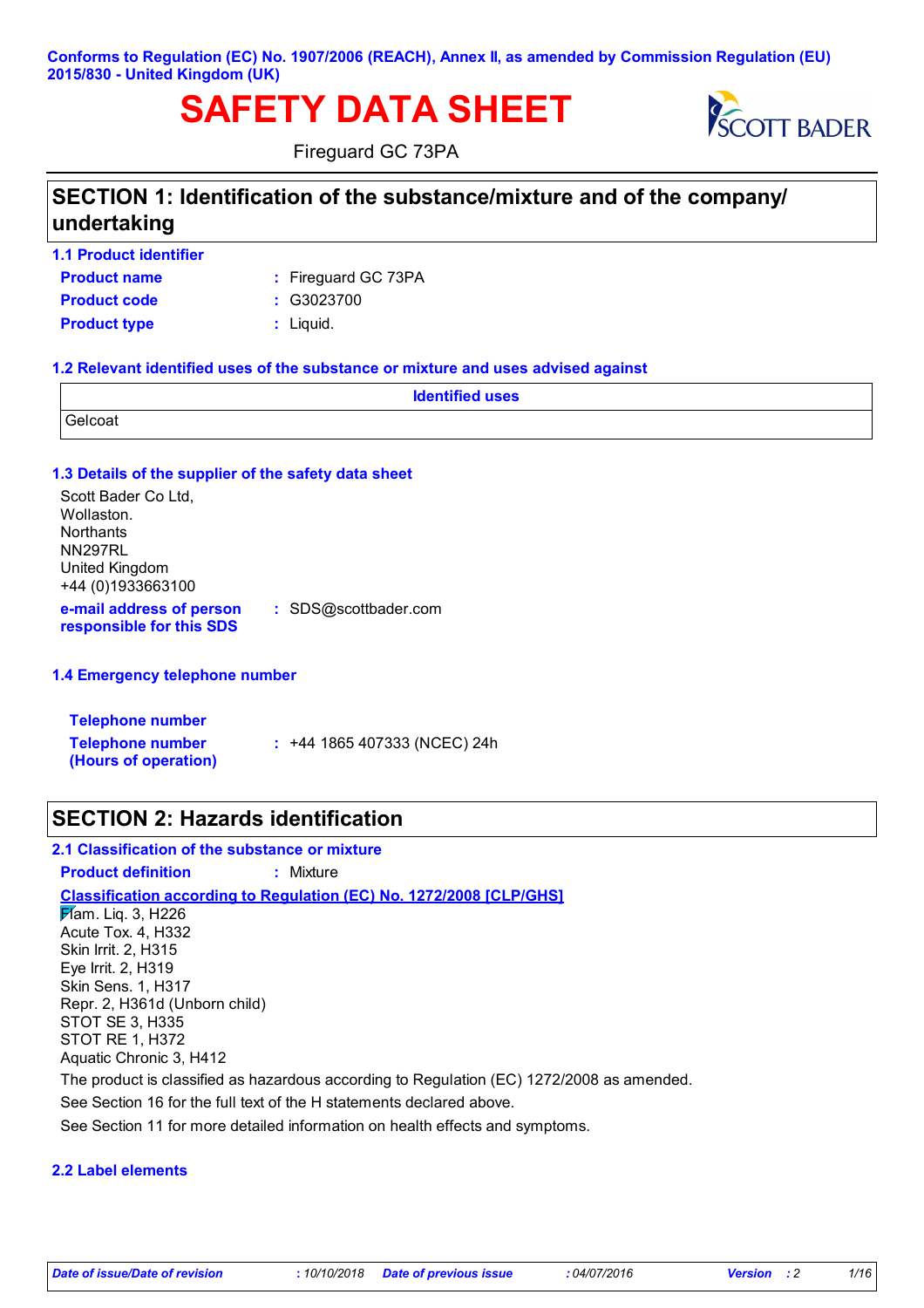#### **Conforms to Regulation (EC) No. 1907/2006 (REACH), Annex II, as amended by Commission Regulation (EU) 2015/830 - United Kingdom (UK)**

# **SAFETY DATA SHEET**



Fireguard GC 73PA

## **SECTION 1: Identification of the substance/mixture and of the company/ undertaking**

- **1.1 Product identifier**
- **Product name Product code :** G3023700

Fireguard GC 73PA **:**

- 
- **Product type :** Liquid.

#### **1.2 Relevant identified uses of the substance or mixture and uses advised against**

|         | <b>Identified uses</b> |  |
|---------|------------------------|--|
| Gelcoat |                        |  |

#### **1.3 Details of the supplier of the safety data sheet e-mail address of person responsible for this SDS :** SDS@scottbader.com Scott Bader Co Ltd, Wollaston. **Northants** NN297RL United Kingdom +44 (0)1933663100

#### **1.4 Emergency telephone number**

| <b>Telephone number</b>                         |                                |
|-------------------------------------------------|--------------------------------|
| <b>Telephone number</b><br>(Hours of operation) | $: 444$ 1865 407333 (NCEC) 24h |

### **SECTION 2: Hazards identification**

#### **2.1 Classification of the substance or mixture**

#### **Product definition :** Mixture

#### **Classification according to Regulation (EC) No. 1272/2008 [CLP/GHS]**

Flam. Liq. 3, H226 Acute Tox. 4, H332 Skin Irrit. 2, H315 Eye Irrit. 2, H319 Skin Sens. 1, H317 Repr. 2, H361d (Unborn child) STOT SE 3, H335 STOT RE 1, H372 Aquatic Chronic 3, H412

The product is classified as hazardous according to Regulation (EC) 1272/2008 as amended.

See Section 16 for the full text of the H statements declared above.

See Section 11 for more detailed information on health effects and symptoms.

#### **2.2 Label elements**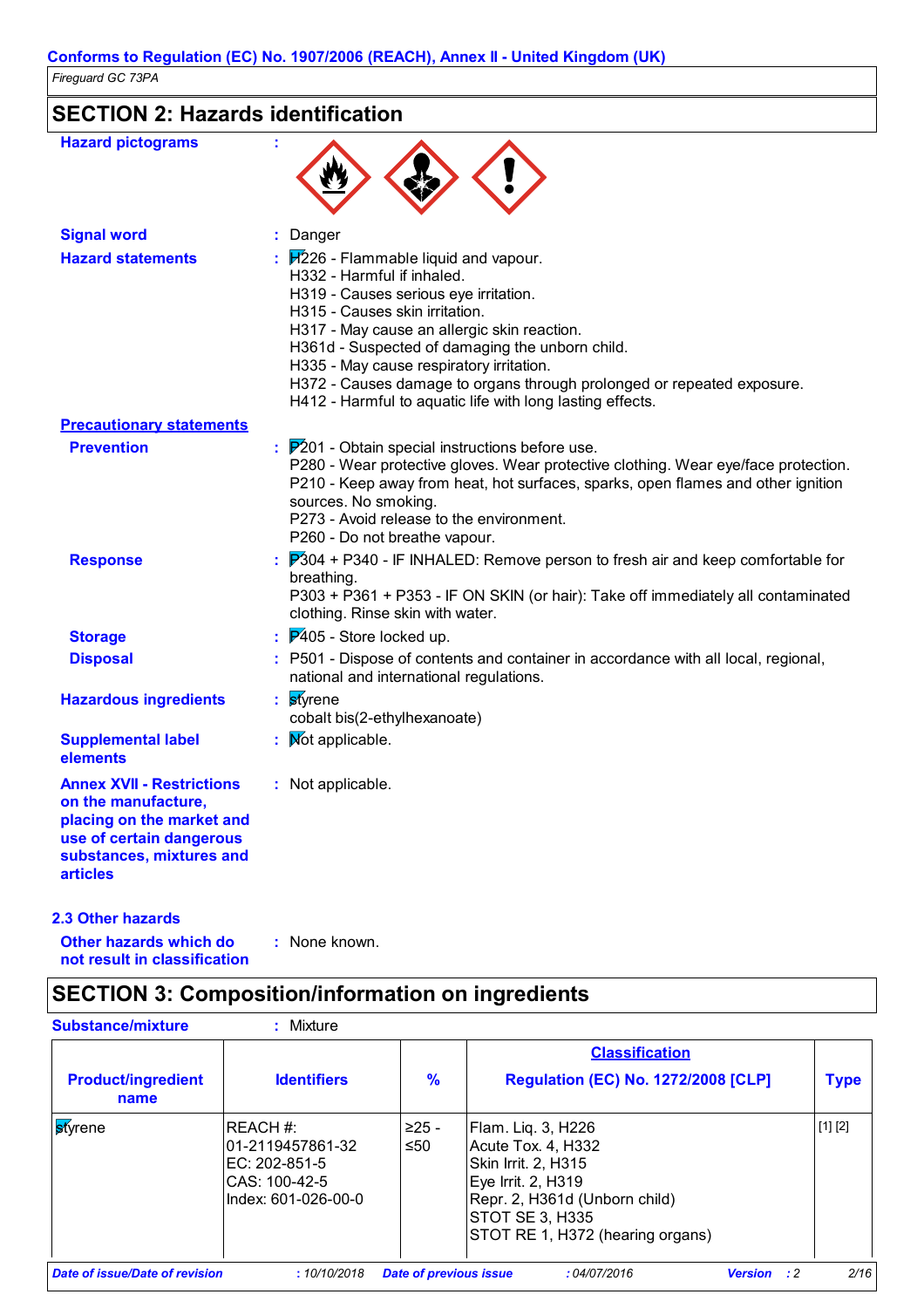## **SECTION 2: Hazards identification**

| <b>Hazard pictograms</b>                                                                                                                                        |                                                                                                                                                                                                                                                                                                                                                                                                                                     |
|-----------------------------------------------------------------------------------------------------------------------------------------------------------------|-------------------------------------------------------------------------------------------------------------------------------------------------------------------------------------------------------------------------------------------------------------------------------------------------------------------------------------------------------------------------------------------------------------------------------------|
| <b>Signal word</b>                                                                                                                                              | Danger                                                                                                                                                                                                                                                                                                                                                                                                                              |
| <b>Hazard statements</b>                                                                                                                                        | $H226$ - Flammable liquid and vapour.<br>H332 - Harmful if inhaled.<br>H319 - Causes serious eye irritation.<br>H315 - Causes skin irritation.<br>H317 - May cause an allergic skin reaction.<br>H361d - Suspected of damaging the unborn child.<br>H335 - May cause respiratory irritation.<br>H372 - Causes damage to organs through prolonged or repeated exposure.<br>H412 - Harmful to aquatic life with long lasting effects. |
| <b>Precautionary statements</b>                                                                                                                                 |                                                                                                                                                                                                                                                                                                                                                                                                                                     |
| <b>Prevention</b>                                                                                                                                               | $\frac{1}{2}$ $\mathbb{P}^{2}$ 01 - Obtain special instructions before use.<br>P280 - Wear protective gloves. Wear protective clothing. Wear eye/face protection.<br>P210 - Keep away from heat, hot surfaces, sparks, open flames and other ignition<br>sources. No smoking.<br>P273 - Avoid release to the environment.<br>P260 - Do not breathe vapour.                                                                          |
| <b>Response</b>                                                                                                                                                 | $\frac{1}{2}$ $\overline{P}$ 304 + P340 - IF INHALED: Remove person to fresh air and keep comfortable for<br>breathing.<br>P303 + P361 + P353 - IF ON SKIN (or hair): Take off immediately all contaminated<br>clothing. Rinse skin with water.                                                                                                                                                                                     |
| <b>Storage</b>                                                                                                                                                  | $\cancel{P405}$ - Store locked up.                                                                                                                                                                                                                                                                                                                                                                                                  |
| <b>Disposal</b>                                                                                                                                                 | : P501 - Dispose of contents and container in accordance with all local, regional,<br>national and international regulations.                                                                                                                                                                                                                                                                                                       |
| <b>Hazardous ingredients</b>                                                                                                                                    | <b>st</b> yrene<br>cobalt bis(2-ethylhexanoate)                                                                                                                                                                                                                                                                                                                                                                                     |
| <b>Supplemental label</b><br>elements                                                                                                                           | : Mot applicable.                                                                                                                                                                                                                                                                                                                                                                                                                   |
| <b>Annex XVII - Restrictions</b><br>on the manufacture,<br>placing on the market and<br>use of certain dangerous<br>substances, mixtures and<br><b>articles</b> | : Not applicable.                                                                                                                                                                                                                                                                                                                                                                                                                   |

**2.3 Other hazards**

: None known.

**Other hazards which do : not result in classification**

## **SECTION 3: Composition/information on ingredients**

| <b>Substance/mixture</b>              | Mixture                                                                                |                               |                                                                                                                                                                                      |                    |             |
|---------------------------------------|----------------------------------------------------------------------------------------|-------------------------------|--------------------------------------------------------------------------------------------------------------------------------------------------------------------------------------|--------------------|-------------|
| <b>Product/ingredient</b><br>name     | <b>Identifiers</b>                                                                     | $\frac{9}{6}$                 | <b>Classification</b><br><b>Regulation (EC) No. 1272/2008 [CLP]</b>                                                                                                                  |                    | <b>Type</b> |
| styrene                               | REACH #:<br>101-2119457861-32<br>EC: 202-851-5<br>CAS: 100-42-5<br>Index: 601-026-00-0 | ≥25 -<br>$\leq 50$            | Flam. Liq. 3, H226<br>Acute Tox. 4, H332<br>Skin Irrit. 2, H315<br>Eye Irrit. 2, H319<br>Repr. 2, H361d (Unborn child)<br><b>STOT SE 3, H335</b><br>STOT RE 1, H372 (hearing organs) |                    | [1] [2]     |
| <b>Date of issue/Date of revision</b> | :10/10/2018                                                                            | <b>Date of previous issue</b> | :04/07/2016                                                                                                                                                                          | <b>Version</b> : 2 | 2/16        |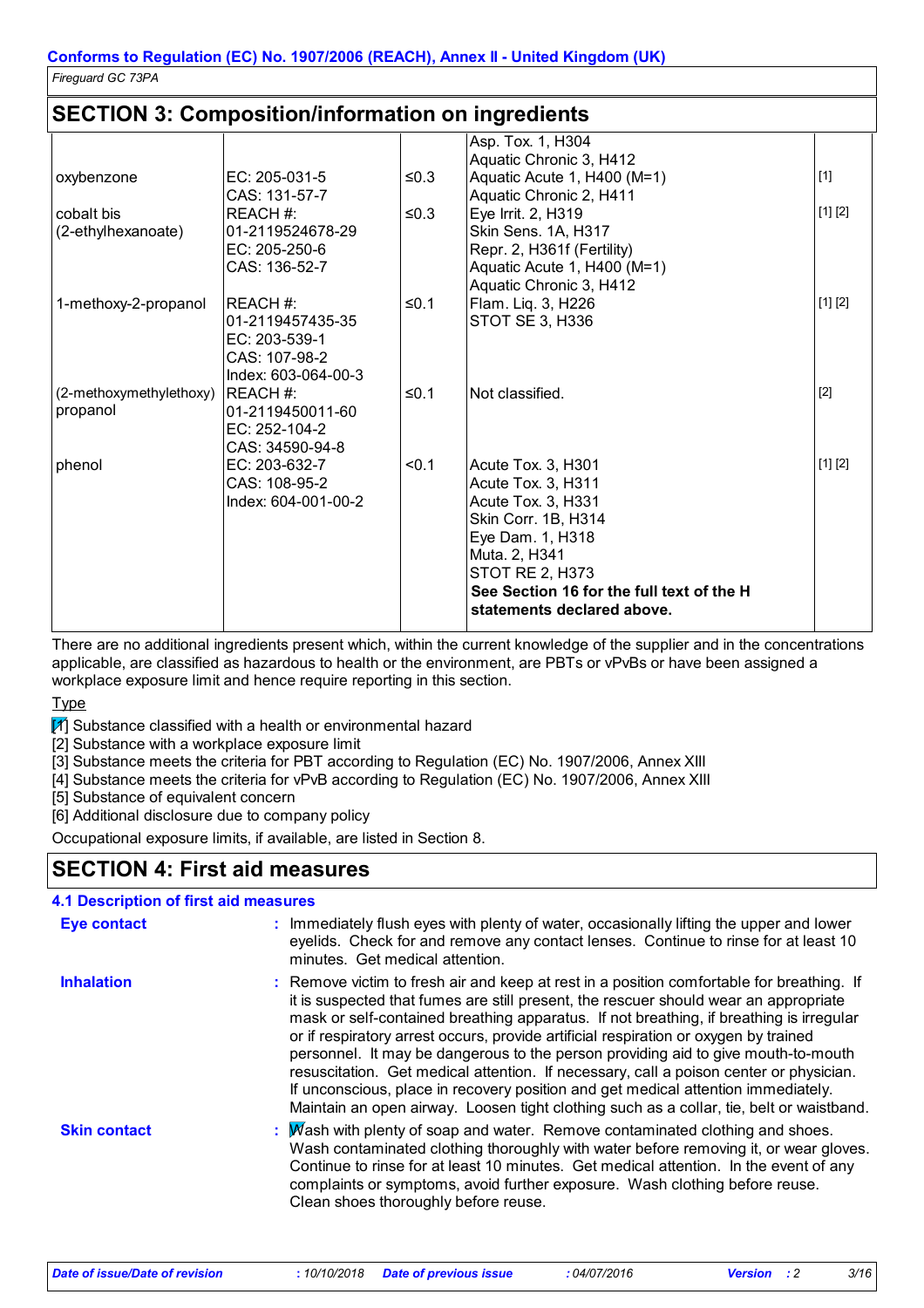### **SECTION 3: Composition/information on ingredients**

|                         |                                |            | Asp. Tox. 1, H304<br>Aquatic Chronic 3, H412 |         |
|-------------------------|--------------------------------|------------|----------------------------------------------|---------|
| oxybenzone              | EC: 205-031-5                  | ≤0.3       | Aquatic Acute 1, H400 (M=1)                  | $[1]$   |
|                         | CAS: 131-57-7                  |            | Aquatic Chronic 2, H411                      |         |
| cobalt bis              | REACH #:                       | $\leq 0.3$ | Eye Irrit. 2, H319                           | [1] [2] |
| (2-ethylhexanoate)      | 01-2119524678-29               |            | Skin Sens. 1A, H317                          |         |
|                         | EC: 205-250-6                  |            | Repr. 2, H361f (Fertility)                   |         |
|                         | CAS: 136-52-7                  |            | Aquatic Acute 1, H400 (M=1)                  |         |
|                         |                                |            | Aquatic Chronic 3, H412                      |         |
| 1-methoxy-2-propanol    | IREACH #:                      | $≤0.1$     | Flam. Liq. 3, H226                           | [1] [2] |
|                         | 01-2119457435-35               |            | STOT SE 3, H336                              |         |
|                         | EC: 203-539-1                  |            |                                              |         |
|                         | CAS: 107-98-2                  |            |                                              |         |
|                         | Index: 603-064-00-3            |            |                                              |         |
| (2-methoxymethylethoxy) | <b>IREACH#:</b>                | ≤0.1       | Not classified.                              | $[2]$   |
| propanol                | 01-2119450011-60               |            |                                              |         |
|                         | EC: 252-104-2                  |            |                                              |         |
|                         | CAS: 34590-94-8                |            |                                              |         |
| phenol                  | EC: 203-632-7<br>CAS: 108-95-2 | < 0.1      | Acute Tox. 3, H301                           | [1] [2] |
|                         | Index: 604-001-00-2            |            | Acute Tox. 3, H311<br>Acute Tox. 3, H331     |         |
|                         |                                |            | Skin Corr. 1B, H314                          |         |
|                         |                                |            | Eye Dam. 1, H318                             |         |
|                         |                                |            | Muta. 2, H341                                |         |
|                         |                                |            | <b>STOT RE 2, H373</b>                       |         |
|                         |                                |            | See Section 16 for the full text of the H    |         |
|                         |                                |            | statements declared above.                   |         |
|                         |                                |            |                                              |         |

There are no additional ingredients present which, within the current knowledge of the supplier and in the concentrations applicable, are classified as hazardous to health or the environment, are PBTs or vPvBs or have been assigned a workplace exposure limit and hence require reporting in this section.

**Type** 

 $M$  Substance classified with a health or environmental hazard

[2] Substance with a workplace exposure limit

[3] Substance meets the criteria for PBT according to Regulation (EC) No. 1907/2006, Annex XIII

[4] Substance meets the criteria for vPvB according to Regulation (EC) No. 1907/2006, Annex XIII

[5] Substance of equivalent concern

[6] Additional disclosure due to company policy

Occupational exposure limits, if available, are listed in Section 8.

### **SECTION 4: First aid measures**

| <b>4.1 Description of first aid measures</b> |                                                                                                                                                                                                                                                                                                                                                                                                                                                                                                                                                                                                                                                                                                                                      |
|----------------------------------------------|--------------------------------------------------------------------------------------------------------------------------------------------------------------------------------------------------------------------------------------------------------------------------------------------------------------------------------------------------------------------------------------------------------------------------------------------------------------------------------------------------------------------------------------------------------------------------------------------------------------------------------------------------------------------------------------------------------------------------------------|
| <b>Eye contact</b>                           | : Immediately flush eyes with plenty of water, occasionally lifting the upper and lower<br>eyelids. Check for and remove any contact lenses. Continue to rinse for at least 10<br>minutes. Get medical attention.                                                                                                                                                                                                                                                                                                                                                                                                                                                                                                                    |
| <b>Inhalation</b>                            | : Remove victim to fresh air and keep at rest in a position comfortable for breathing. If<br>it is suspected that fumes are still present, the rescuer should wear an appropriate<br>mask or self-contained breathing apparatus. If not breathing, if breathing is irregular<br>or if respiratory arrest occurs, provide artificial respiration or oxygen by trained<br>personnel. It may be dangerous to the person providing aid to give mouth-to-mouth<br>resuscitation. Get medical attention. If necessary, call a poison center or physician.<br>If unconscious, place in recovery position and get medical attention immediately.<br>Maintain an open airway. Loosen tight clothing such as a collar, tie, belt or waistband. |
| <b>Skin contact</b>                          | : Mash with plenty of soap and water. Remove contaminated clothing and shoes.<br>Wash contaminated clothing thoroughly with water before removing it, or wear gloves.<br>Continue to rinse for at least 10 minutes. Get medical attention. In the event of any<br>complaints or symptoms, avoid further exposure. Wash clothing before reuse.<br>Clean shoes thoroughly before reuse.                                                                                                                                                                                                                                                                                                                                                |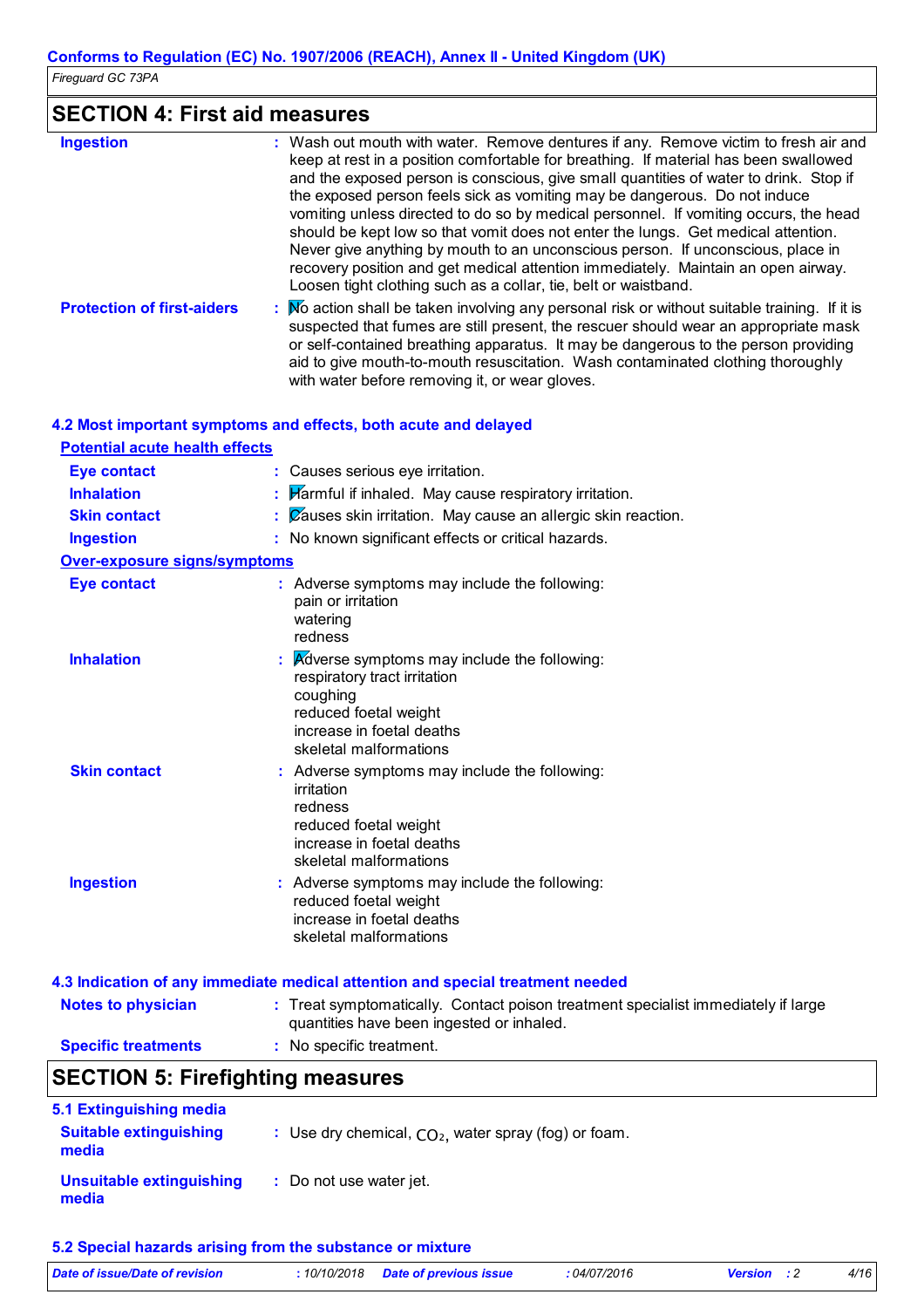## **SECTION 4: First aid measures**

| <b>Ingestion</b>                  | : Wash out mouth with water. Remove dentures if any. Remove victim to fresh air and<br>keep at rest in a position comfortable for breathing. If material has been swallowed<br>and the exposed person is conscious, give small quantities of water to drink. Stop if<br>the exposed person feels sick as vomiting may be dangerous. Do not induce<br>vomiting unless directed to do so by medical personnel. If vomiting occurs, the head<br>should be kept low so that vomit does not enter the lungs. Get medical attention.<br>Never give anything by mouth to an unconscious person. If unconscious, place in<br>recovery position and get medical attention immediately. Maintain an open airway.<br>Loosen tight clothing such as a collar, tie, belt or waistband. |
|-----------------------------------|---------------------------------------------------------------------------------------------------------------------------------------------------------------------------------------------------------------------------------------------------------------------------------------------------------------------------------------------------------------------------------------------------------------------------------------------------------------------------------------------------------------------------------------------------------------------------------------------------------------------------------------------------------------------------------------------------------------------------------------------------------------------------|
| <b>Protection of first-aiders</b> | Mo action shall be taken involving any personal risk or without suitable training. If it is<br>suspected that fumes are still present, the rescuer should wear an appropriate mask<br>or self-contained breathing apparatus. It may be dangerous to the person providing<br>aid to give mouth-to-mouth resuscitation. Wash contaminated clothing thoroughly<br>with water before removing it, or wear gloves.                                                                                                                                                                                                                                                                                                                                                             |

#### **4.2 Most important symptoms and effects, both acute and delayed**

| <b>Potential acute health effects</b> |
|---------------------------------------|
|---------------------------------------|

| <b>Eye contact</b>                  | : Causes serious eye irritation.                                                                                                                                        |
|-------------------------------------|-------------------------------------------------------------------------------------------------------------------------------------------------------------------------|
| <b>Inhalation</b>                   | $\frac{1}{2}$ Harmful if inhaled. May cause respiratory irritation.                                                                                                     |
| <b>Skin contact</b>                 | $\therefore$ Zauses skin irritation. May cause an allergic skin reaction.                                                                                               |
| <b>Ingestion</b>                    | : No known significant effects or critical hazards.                                                                                                                     |
| <b>Over-exposure signs/symptoms</b> |                                                                                                                                                                         |
| <b>Eye contact</b>                  | : Adverse symptoms may include the following:<br>pain or irritation<br>watering<br>redness                                                                              |
| <b>Inhalation</b>                   | Adverse symptoms may include the following:<br>respiratory tract irritation<br>coughing<br>reduced foetal weight<br>increase in foetal deaths<br>skeletal malformations |
| <b>Skin contact</b>                 | : Adverse symptoms may include the following:<br>irritation<br>redness<br>reduced foetal weight<br>increase in foetal deaths<br>skeletal malformations                  |
| <b>Ingestion</b>                    | : Adverse symptoms may include the following:<br>reduced foetal weight<br>increase in foetal deaths<br>skeletal malformations                                           |

#### **Notes to physician** : Treat symptomatically. Contact poison treatment specialist immediately if large **4.3 Indication of any immediate medical attention and special treatment needed**

quantities have been ingested or inhaled. **Specific treatments :** No specific treatment.

### **SECTION 5: Firefighting measures**

| 5.1 Extinguishing media<br><b>Suitable extinguishing</b> | : Use dry chemical, $CO2$ , water spray (fog) or foam. |  |
|----------------------------------------------------------|--------------------------------------------------------|--|
| media                                                    |                                                        |  |
| Unsuitable extinguishing<br>media                        | : Do not use water jet.                                |  |

#### **5.2 Special hazards arising from the substance or mixture**

| Date of issue/Date of revision | : 10/10/2018 Date of previous issue | 04/07/2016 | <b>Version</b> : 2 | 4/16 |
|--------------------------------|-------------------------------------|------------|--------------------|------|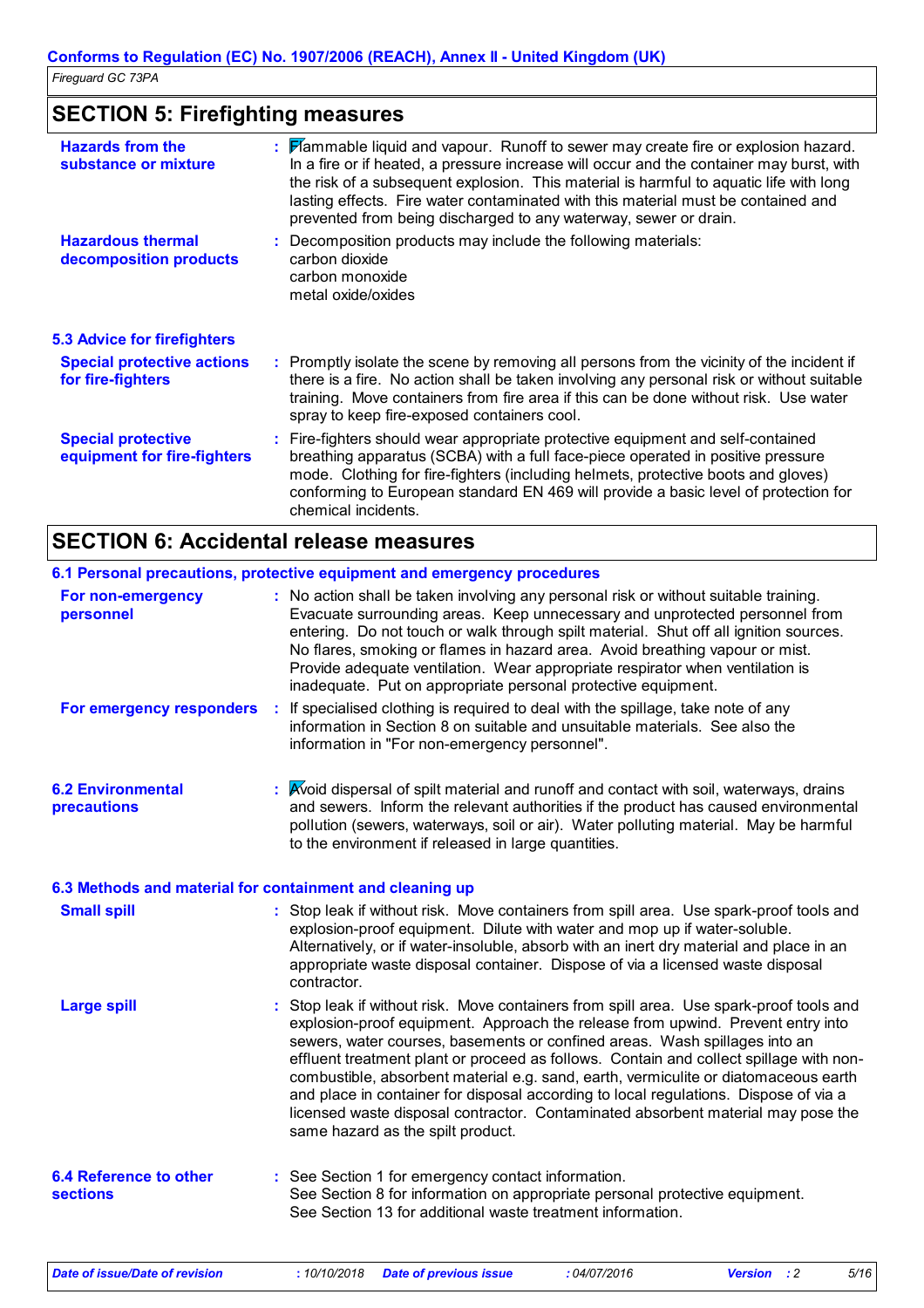## **SECTION 5: Firefighting measures**

| <b>Hazards from the</b><br>substance or mixture          | : Flammable liquid and vapour. Runoff to sewer may create fire or explosion hazard.<br>In a fire or if heated, a pressure increase will occur and the container may burst, with<br>the risk of a subsequent explosion. This material is harmful to aquatic life with long<br>lasting effects. Fire water contaminated with this material must be contained and<br>prevented from being discharged to any waterway, sewer or drain. |
|----------------------------------------------------------|------------------------------------------------------------------------------------------------------------------------------------------------------------------------------------------------------------------------------------------------------------------------------------------------------------------------------------------------------------------------------------------------------------------------------------|
| <b>Hazardous thermal</b><br>decomposition products       | Decomposition products may include the following materials:<br>carbon dioxide<br>carbon monoxide<br>metal oxide/oxides                                                                                                                                                                                                                                                                                                             |
| <b>5.3 Advice for firefighters</b>                       |                                                                                                                                                                                                                                                                                                                                                                                                                                    |
| <b>Special protective actions</b><br>for fire-fighters   | : Promptly isolate the scene by removing all persons from the vicinity of the incident if<br>there is a fire. No action shall be taken involving any personal risk or without suitable<br>training. Move containers from fire area if this can be done without risk. Use water<br>spray to keep fire-exposed containers cool.                                                                                                      |
| <b>Special protective</b><br>equipment for fire-fighters | : Fire-fighters should wear appropriate protective equipment and self-contained<br>breathing apparatus (SCBA) with a full face-piece operated in positive pressure<br>mode. Clothing for fire-fighters (including helmets, protective boots and gloves)<br>conforming to European standard EN 469 will provide a basic level of protection for<br>chemical incidents.                                                              |

## **SECTION 6: Accidental release measures**

|                                                          |   | 6.1 Personal precautions, protective equipment and emergency procedures                                                                                                                                                                                                                                                                                                                                                                                                                                                                                                                                                                                    |
|----------------------------------------------------------|---|------------------------------------------------------------------------------------------------------------------------------------------------------------------------------------------------------------------------------------------------------------------------------------------------------------------------------------------------------------------------------------------------------------------------------------------------------------------------------------------------------------------------------------------------------------------------------------------------------------------------------------------------------------|
| For non-emergency<br>personnel                           |   | : No action shall be taken involving any personal risk or without suitable training.<br>Evacuate surrounding areas. Keep unnecessary and unprotected personnel from<br>entering. Do not touch or walk through spilt material. Shut off all ignition sources.<br>No flares, smoking or flames in hazard area. Avoid breathing vapour or mist.<br>Provide adequate ventilation. Wear appropriate respirator when ventilation is<br>inadequate. Put on appropriate personal protective equipment.                                                                                                                                                             |
| For emergency responders                                 | ÷ | If specialised clothing is required to deal with the spillage, take note of any<br>information in Section 8 on suitable and unsuitable materials. See also the<br>information in "For non-emergency personnel".                                                                                                                                                                                                                                                                                                                                                                                                                                            |
| <b>6.2 Environmental</b><br>precautions                  |   | : Avoid dispersal of spilt material and runoff and contact with soil, waterways, drains<br>and sewers. Inform the relevant authorities if the product has caused environmental<br>pollution (sewers, waterways, soil or air). Water polluting material. May be harmful<br>to the environment if released in large quantities.                                                                                                                                                                                                                                                                                                                              |
| 6.3 Methods and material for containment and cleaning up |   |                                                                                                                                                                                                                                                                                                                                                                                                                                                                                                                                                                                                                                                            |
| <b>Small spill</b>                                       |   | : Stop leak if without risk. Move containers from spill area. Use spark-proof tools and<br>explosion-proof equipment. Dilute with water and mop up if water-soluble.<br>Alternatively, or if water-insoluble, absorb with an inert dry material and place in an<br>appropriate waste disposal container. Dispose of via a licensed waste disposal<br>contractor.                                                                                                                                                                                                                                                                                           |
| <b>Large spill</b>                                       |   | : Stop leak if without risk. Move containers from spill area. Use spark-proof tools and<br>explosion-proof equipment. Approach the release from upwind. Prevent entry into<br>sewers, water courses, basements or confined areas. Wash spillages into an<br>effluent treatment plant or proceed as follows. Contain and collect spillage with non-<br>combustible, absorbent material e.g. sand, earth, vermiculite or diatomaceous earth<br>and place in container for disposal according to local regulations. Dispose of via a<br>licensed waste disposal contractor. Contaminated absorbent material may pose the<br>same hazard as the spilt product. |
| <b>6.4 Reference to other</b><br><b>sections</b>         |   | : See Section 1 for emergency contact information.<br>See Section 8 for information on appropriate personal protective equipment.<br>See Section 13 for additional waste treatment information.                                                                                                                                                                                                                                                                                                                                                                                                                                                            |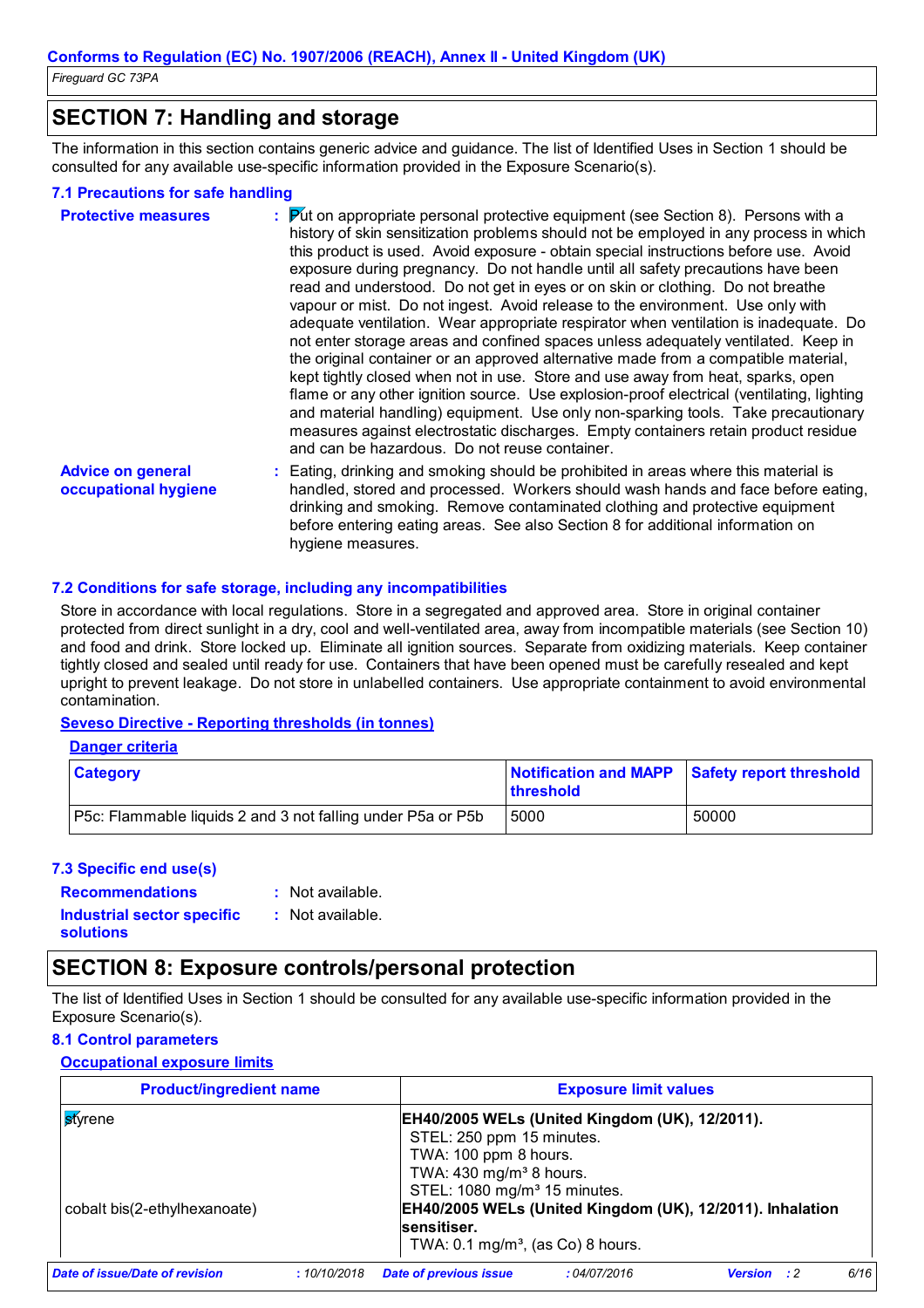### **SECTION 7: Handling and storage**

The information in this section contains generic advice and guidance. The list of Identified Uses in Section 1 should be consulted for any available use-specific information provided in the Exposure Scenario(s).

#### **7.1 Precautions for safe handling**

| <b>Protective measures</b>                       | : Put on appropriate personal protective equipment (see Section 8). Persons with a<br>history of skin sensitization problems should not be employed in any process in which<br>this product is used. Avoid exposure - obtain special instructions before use. Avoid<br>exposure during pregnancy. Do not handle until all safety precautions have been<br>read and understood. Do not get in eyes or on skin or clothing. Do not breathe<br>vapour or mist. Do not ingest. Avoid release to the environment. Use only with<br>adequate ventilation. Wear appropriate respirator when ventilation is inadequate. Do<br>not enter storage areas and confined spaces unless adequately ventilated. Keep in<br>the original container or an approved alternative made from a compatible material,<br>kept tightly closed when not in use. Store and use away from heat, sparks, open<br>flame or any other ignition source. Use explosion-proof electrical (ventilating, lighting<br>and material handling) equipment. Use only non-sparking tools. Take precautionary<br>measures against electrostatic discharges. Empty containers retain product residue<br>and can be hazardous. Do not reuse container. |
|--------------------------------------------------|-----------------------------------------------------------------------------------------------------------------------------------------------------------------------------------------------------------------------------------------------------------------------------------------------------------------------------------------------------------------------------------------------------------------------------------------------------------------------------------------------------------------------------------------------------------------------------------------------------------------------------------------------------------------------------------------------------------------------------------------------------------------------------------------------------------------------------------------------------------------------------------------------------------------------------------------------------------------------------------------------------------------------------------------------------------------------------------------------------------------------------------------------------------------------------------------------------------|
| <b>Advice on general</b><br>occupational hygiene | : Eating, drinking and smoking should be prohibited in areas where this material is<br>handled, stored and processed. Workers should wash hands and face before eating,<br>drinking and smoking. Remove contaminated clothing and protective equipment<br>before entering eating areas. See also Section 8 for additional information on<br>hygiene measures.                                                                                                                                                                                                                                                                                                                                                                                                                                                                                                                                                                                                                                                                                                                                                                                                                                             |

#### **7.2 Conditions for safe storage, including any incompatibilities**

Store in accordance with local regulations. Store in a segregated and approved area. Store in original container protected from direct sunlight in a dry, cool and well-ventilated area, away from incompatible materials (see Section 10) and food and drink. Store locked up. Eliminate all ignition sources. Separate from oxidizing materials. Keep container tightly closed and sealed until ready for use. Containers that have been opened must be carefully resealed and kept upright to prevent leakage. Do not store in unlabelled containers. Use appropriate containment to avoid environmental contamination.

#### **Seveso Directive - Reporting thresholds (in tonnes)**

|--|

| <b>Category</b>                                                    | Notification and MAPP Safety report threshold<br><b>threshold</b> |       |
|--------------------------------------------------------------------|-------------------------------------------------------------------|-------|
| <b>P5c:</b> Flammable liquids 2 and 3 not falling under P5a or P5b | 5000                                                              | 50000 |

#### **7.3 Specific end use(s)**

**solutions**

**Recommendations :** : Not available.

**Industrial sector specific :** : Not available.

## **SECTION 8: Exposure controls/personal protection**

The list of Identified Uses in Section 1 should be consulted for any available use-specific information provided in the Exposure Scenario(s).

#### **8.1 Control parameters**

#### **Occupational exposure limits**

| <b>Product/ingredient name</b>                  | <b>Exposure limit values</b> |                                                                                                                                                                                                                                      |                                                       |                |     |      |
|-------------------------------------------------|------------------------------|--------------------------------------------------------------------------------------------------------------------------------------------------------------------------------------------------------------------------------------|-------------------------------------------------------|----------------|-----|------|
| <b>s</b> tyrene<br>cobalt bis(2-ethylhexanoate) |                              | STEL: 250 ppm 15 minutes.                                                                                                                                                                                                            | <b>EH40/2005 WELs (United Kingdom (UK), 12/2011).</b> |                |     |      |
|                                                 |                              | TWA: 100 ppm 8 hours.<br>TWA: 430 mg/m <sup>3</sup> 8 hours.<br>STEL: 1080 mg/m <sup>3</sup> 15 minutes.<br>EH40/2005 WELs (United Kingdom (UK), 12/2011). Inhalation<br>sensitiser.<br>TWA: $0.1 \text{ mg/m}^3$ , (as Co) 8 hours. |                                                       |                |     |      |
| Date of issue/Date of revision                  | :10/10/2018                  | <b>Date of previous issue</b>                                                                                                                                                                                                        | :04/07/2016                                           | <b>Version</b> | - 2 | 6/16 |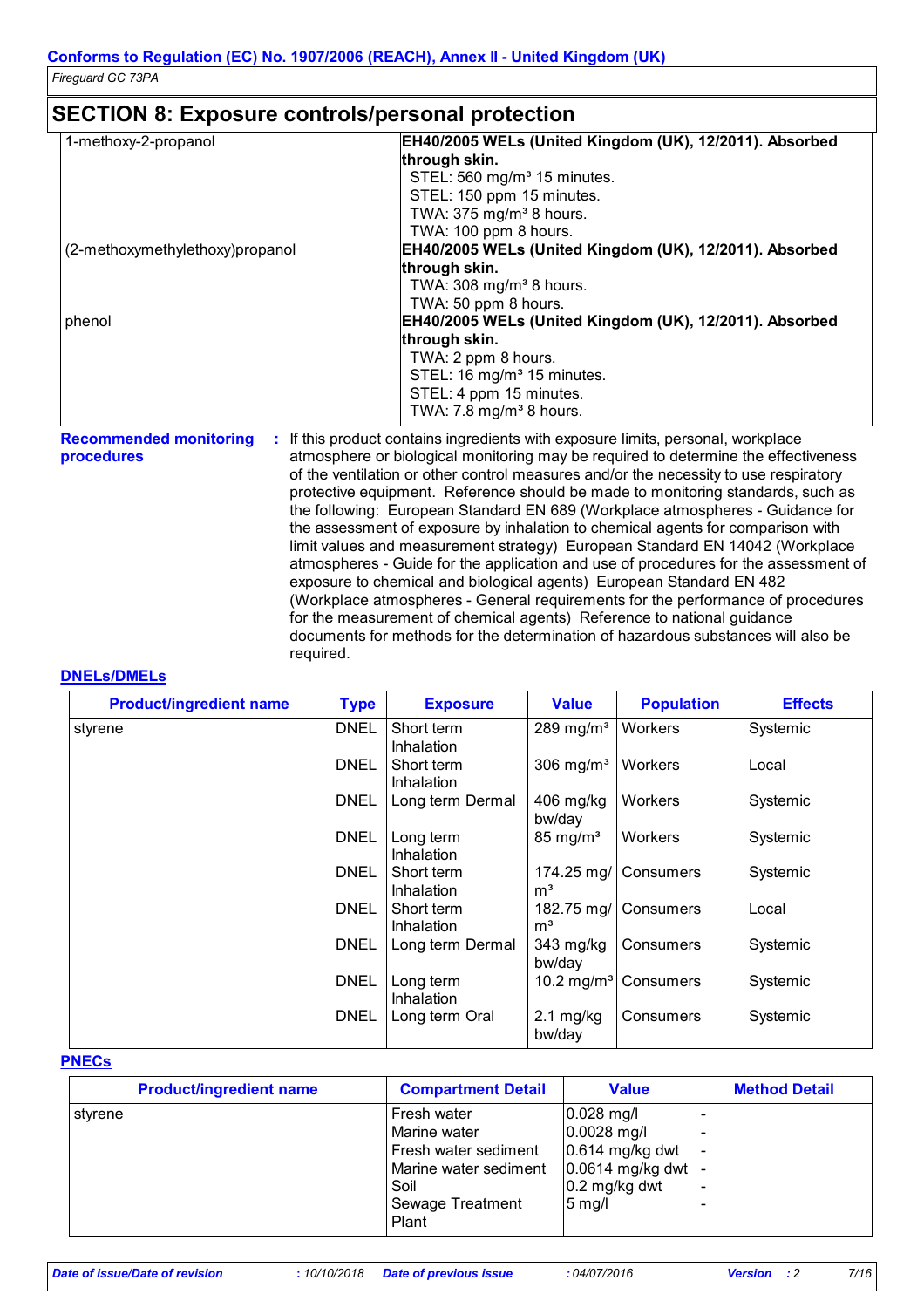### **SECTION 8: Exposure controls/personal protection**

| 1-methoxy-2-propanol            | EH40/2005 WELs (United Kingdom (UK), 12/2011). Absorbed                          |
|---------------------------------|----------------------------------------------------------------------------------|
|                                 | through skin.                                                                    |
|                                 | STEL: 560 mg/m <sup>3</sup> 15 minutes.                                          |
|                                 | STEL: 150 ppm 15 minutes.                                                        |
|                                 | TWA: 375 mg/m <sup>3</sup> 8 hours.                                              |
|                                 | TWA: 100 ppm 8 hours.                                                            |
| (2-methoxymethylethoxy)propanol | EH40/2005 WELs (United Kingdom (UK), 12/2011). Absorbed                          |
|                                 | through skin.                                                                    |
|                                 | TWA: $308 \text{ mg/m}^3$ 8 hours.                                               |
|                                 | TWA: 50 ppm 8 hours.                                                             |
| phenol                          | EH40/2005 WELs (United Kingdom (UK), 12/2011). Absorbed                          |
|                                 | through skin.                                                                    |
|                                 | TWA: 2 ppm 8 hours.                                                              |
|                                 | STEL: 16 mg/m <sup>3</sup> 15 minutes.                                           |
|                                 | STEL: 4 ppm 15 minutes.                                                          |
|                                 | TWA: $7.8 \text{ mg/m}^3$ 8 hours.                                               |
| <b>Recommended monitoring</b>   | : If this product contains ingredients with exposure limits, personal, workplace |

**procedures**

atmosphere or biological monitoring may be required to determine the effectiveness of the ventilation or other control measures and/or the necessity to use respiratory protective equipment. Reference should be made to monitoring standards, such as the following: European Standard EN 689 (Workplace atmospheres - Guidance for the assessment of exposure by inhalation to chemical agents for comparison with limit values and measurement strategy) European Standard EN 14042 (Workplace atmospheres - Guide for the application and use of procedures for the assessment of exposure to chemical and biological agents) European Standard EN 482 (Workplace atmospheres - General requirements for the performance of procedures for the measurement of chemical agents) Reference to national guidance documents for methods for the determination of hazardous substances will also be required.

#### **DNELs/DMELs**

| <b>Product/ingredient name</b> | <b>Type</b> | <b>Exposure</b>                 | <b>Value</b>                 | <b>Population</b>                | <b>Effects</b> |
|--------------------------------|-------------|---------------------------------|------------------------------|----------------------------------|----------------|
| styrene                        | <b>DNEL</b> | Short term<br><b>Inhalation</b> | 289 mg/m <sup>3</sup>        | Workers                          | Systemic       |
|                                | <b>DNEL</b> | Short term<br><b>Inhalation</b> | $306 \text{ mg/m}^3$         | Workers                          | Local          |
|                                | <b>DNEL</b> | Long term Dermal                | 406 mg/kg<br>bw/day          | <b>Workers</b>                   | Systemic       |
|                                | <b>DNEL</b> | Long term<br><b>Inhalation</b>  | $85 \text{ mg/m}^3$          | Workers                          | Systemic       |
|                                | <b>DNEL</b> | Short term<br><b>Inhalation</b> | 174.25 mg/<br>m <sup>3</sup> | Consumers                        | Systemic       |
|                                | <b>DNEL</b> | Short term<br>Inhalation        | m <sup>3</sup>               | 182.75 mg/ Consumers             | Local          |
|                                | <b>DNEL</b> | Long term Dermal                | 343 mg/kg<br>bw/day          | Consumers                        | Systemic       |
|                                | <b>DNEL</b> | Long term<br>Inhalation         |                              | 10.2 mg/m <sup>3</sup> Consumers | Systemic       |
|                                | <b>DNEL</b> | Long term Oral                  | $2.1$ mg/kg<br>bw/day        | Consumers                        | Systemic       |

#### **PNECs**

| <b>Product/ingredient name</b> | <b>Compartment Detail</b> | <b>Value</b>       | <b>Method Detail</b> |
|--------------------------------|---------------------------|--------------------|----------------------|
| styrene                        | Fresh water               | $0.028$ mg/l       |                      |
|                                | Marine water              | 0.0028 mg/l        |                      |
|                                | Fresh water sediment      | 0.614 mg/kg dwt    |                      |
|                                | Marine water sediment     | $0.0614$ mg/kg dwt |                      |
|                                | Soil                      | $0.2$ mg/kg dwt    |                      |
|                                | Sewage Treatment          | $5$ mg/l           |                      |
|                                | Plant                     |                    |                      |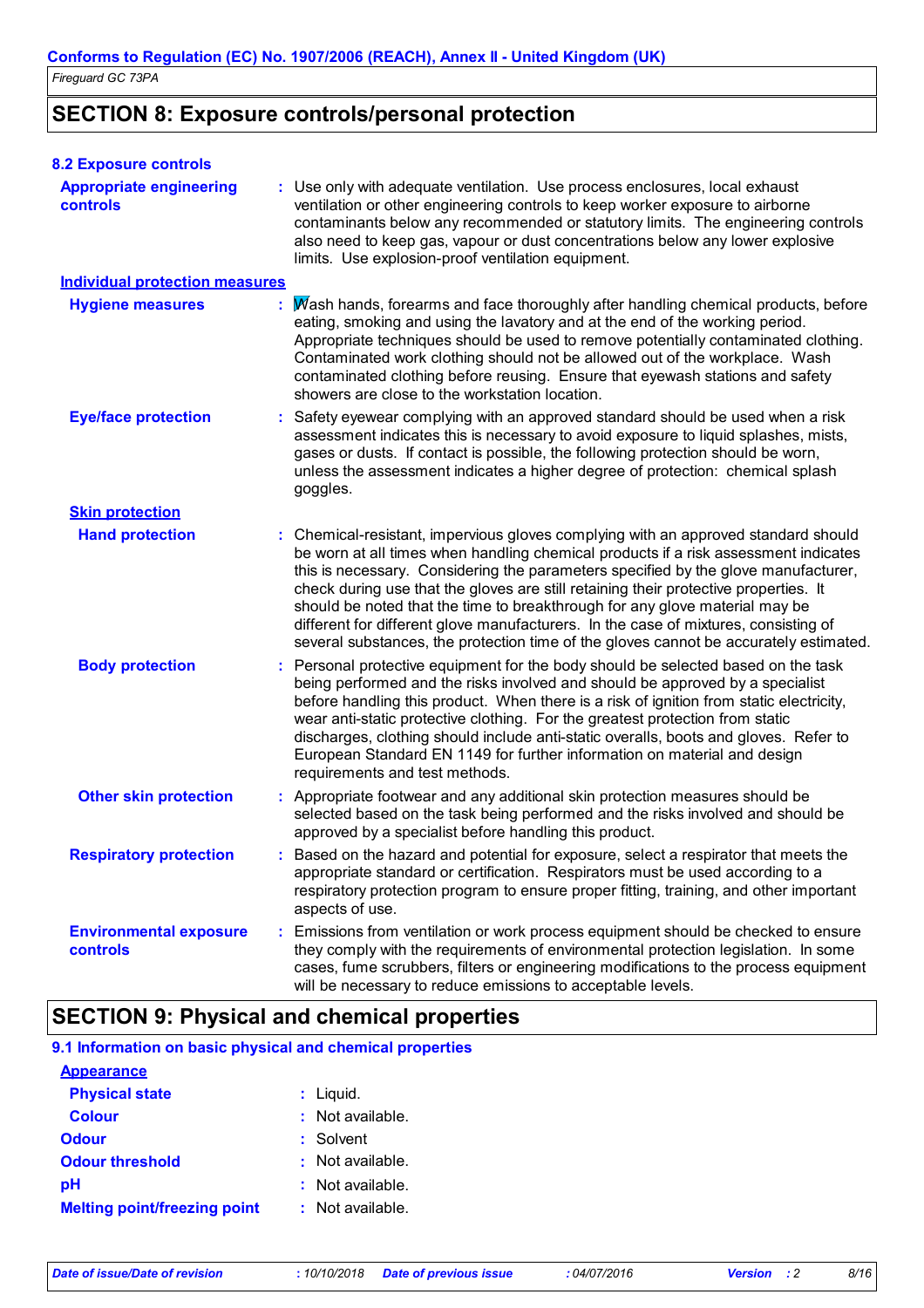## **SECTION 8: Exposure controls/personal protection**

| <b>8.2 Exposure controls</b>                     |                                                                                                                                                                                                                                                                                                                                                                                                                                                                                                                                                                                                                      |  |
|--------------------------------------------------|----------------------------------------------------------------------------------------------------------------------------------------------------------------------------------------------------------------------------------------------------------------------------------------------------------------------------------------------------------------------------------------------------------------------------------------------------------------------------------------------------------------------------------------------------------------------------------------------------------------------|--|
| <b>Appropriate engineering</b><br>controls       | : Use only with adequate ventilation. Use process enclosures, local exhaust<br>ventilation or other engineering controls to keep worker exposure to airborne<br>contaminants below any recommended or statutory limits. The engineering controls<br>also need to keep gas, vapour or dust concentrations below any lower explosive<br>limits. Use explosion-proof ventilation equipment.                                                                                                                                                                                                                             |  |
| <b>Individual protection measures</b>            |                                                                                                                                                                                                                                                                                                                                                                                                                                                                                                                                                                                                                      |  |
| <b>Hygiene measures</b>                          | Wash hands, forearms and face thoroughly after handling chemical products, before<br>eating, smoking and using the lavatory and at the end of the working period.<br>Appropriate techniques should be used to remove potentially contaminated clothing.<br>Contaminated work clothing should not be allowed out of the workplace. Wash<br>contaminated clothing before reusing. Ensure that eyewash stations and safety<br>showers are close to the workstation location.                                                                                                                                            |  |
| <b>Eye/face protection</b>                       | Safety eyewear complying with an approved standard should be used when a risk<br>assessment indicates this is necessary to avoid exposure to liquid splashes, mists,<br>gases or dusts. If contact is possible, the following protection should be worn,<br>unless the assessment indicates a higher degree of protection: chemical splash<br>goggles.                                                                                                                                                                                                                                                               |  |
| <b>Skin protection</b>                           |                                                                                                                                                                                                                                                                                                                                                                                                                                                                                                                                                                                                                      |  |
| <b>Hand protection</b>                           | Chemical-resistant, impervious gloves complying with an approved standard should<br>be worn at all times when handling chemical products if a risk assessment indicates<br>this is necessary. Considering the parameters specified by the glove manufacturer,<br>check during use that the gloves are still retaining their protective properties. It<br>should be noted that the time to breakthrough for any glove material may be<br>different for different glove manufacturers. In the case of mixtures, consisting of<br>several substances, the protection time of the gloves cannot be accurately estimated. |  |
| <b>Body protection</b>                           | Personal protective equipment for the body should be selected based on the task<br>being performed and the risks involved and should be approved by a specialist<br>before handling this product. When there is a risk of ignition from static electricity,<br>wear anti-static protective clothing. For the greatest protection from static<br>discharges, clothing should include anti-static overalls, boots and gloves. Refer to<br>European Standard EN 1149 for further information on material and design<br>requirements and test methods.                                                                   |  |
| <b>Other skin protection</b>                     | : Appropriate footwear and any additional skin protection measures should be<br>selected based on the task being performed and the risks involved and should be<br>approved by a specialist before handling this product.                                                                                                                                                                                                                                                                                                                                                                                            |  |
| <b>Respiratory protection</b>                    | Based on the hazard and potential for exposure, select a respirator that meets the<br>appropriate standard or certification. Respirators must be used according to a<br>respiratory protection program to ensure proper fitting, training, and other important<br>aspects of use.                                                                                                                                                                                                                                                                                                                                    |  |
| <b>Environmental exposure</b><br><b>controls</b> | Emissions from ventilation or work process equipment should be checked to ensure<br>they comply with the requirements of environmental protection legislation. In some<br>cases, fume scrubbers, filters or engineering modifications to the process equipment<br>will be necessary to reduce emissions to acceptable levels.                                                                                                                                                                                                                                                                                        |  |

## **SECTION 9: Physical and chemical properties**

#### **9.1 Information on basic physical and chemical properties**

| <b>Appearance</b>                   |                        |
|-------------------------------------|------------------------|
| <b>Physical state</b>               | $:$ Liquid.            |
| <b>Colour</b>                       | $:$ Not available.     |
| Odour                               | : Solvent              |
| <b>Odour threshold</b>              | $\cdot$ Not available. |
| рH                                  | $:$ Not available.     |
| <b>Melting point/freezing point</b> | $:$ Not available.     |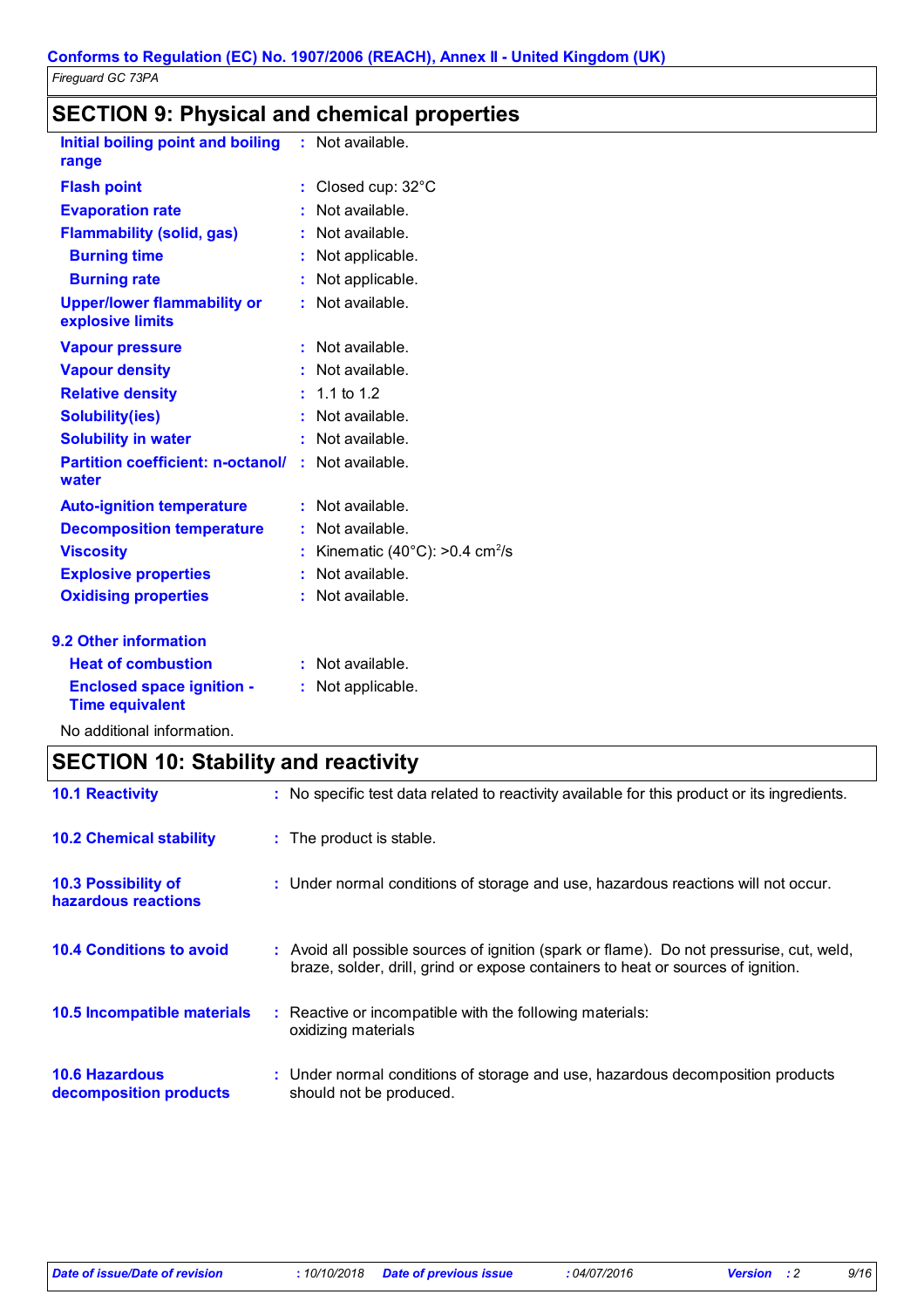## **SECTION 9: Physical and chemical properties**

| Initial boiling point and boiling<br>range                 | Not available.<br>t.                                 |
|------------------------------------------------------------|------------------------------------------------------|
| <b>Flash point</b>                                         | Closed cup: 32°C<br>t                                |
| <b>Evaporation rate</b>                                    | Not available.                                       |
| <b>Flammability (solid, gas)</b>                           | Not available.                                       |
| <b>Burning time</b>                                        | Not applicable.                                      |
| <b>Burning rate</b>                                        | Not applicable.<br>t                                 |
| <b>Upper/lower flammability or</b><br>explosive limits     | Not available.<br>ř.                                 |
| <b>Vapour pressure</b>                                     | Not available.<br>t                                  |
| <b>Vapour density</b>                                      | Not available.                                       |
| <b>Relative density</b>                                    | $: 1.1 \text{ to } 1.2$                              |
| <b>Solubility(ies)</b>                                     | Not available.                                       |
| <b>Solubility in water</b>                                 | Not available.                                       |
| <b>Partition coefficient: n-octanol/</b><br>water          | Not available.<br>÷.                                 |
| <b>Auto-ignition temperature</b>                           | Not available.<br>t.                                 |
| <b>Decomposition temperature</b>                           | Not available.<br>t.                                 |
| <b>Viscosity</b>                                           | Kinematic (40 $^{\circ}$ C): >0.4 cm <sup>2</sup> /s |
| <b>Explosive properties</b>                                | Not available.                                       |
| <b>Oxidising properties</b>                                | Not available.<br>÷.                                 |
| 9.2 Other information                                      |                                                      |
| <b>Heat of combustion</b>                                  | Not available.<br>t.                                 |
| <b>Enclosed space ignition -</b><br><b>Time equivalent</b> | Not applicable.<br>t                                 |
|                                                            |                                                      |

No additional information.

## **SECTION 10: Stability and reactivity**

| <b>10.1 Reactivity</b>                            | : No specific test data related to reactivity available for this product or its ingredients.                                                                                 |
|---------------------------------------------------|------------------------------------------------------------------------------------------------------------------------------------------------------------------------------|
| <b>10.2 Chemical stability</b>                    | : The product is stable.                                                                                                                                                     |
| <b>10.3 Possibility of</b><br>hazardous reactions | : Under normal conditions of storage and use, hazardous reactions will not occur.                                                                                            |
| <b>10.4 Conditions to avoid</b>                   | : Avoid all possible sources of ignition (spark or flame). Do not pressurise, cut, weld,<br>braze, solder, drill, grind or expose containers to heat or sources of ignition. |
| 10.5 Incompatible materials                       | : Reactive or incompatible with the following materials:<br>oxidizing materials                                                                                              |
| <b>10.6 Hazardous</b><br>decomposition products   | : Under normal conditions of storage and use, hazardous decomposition products<br>should not be produced.                                                                    |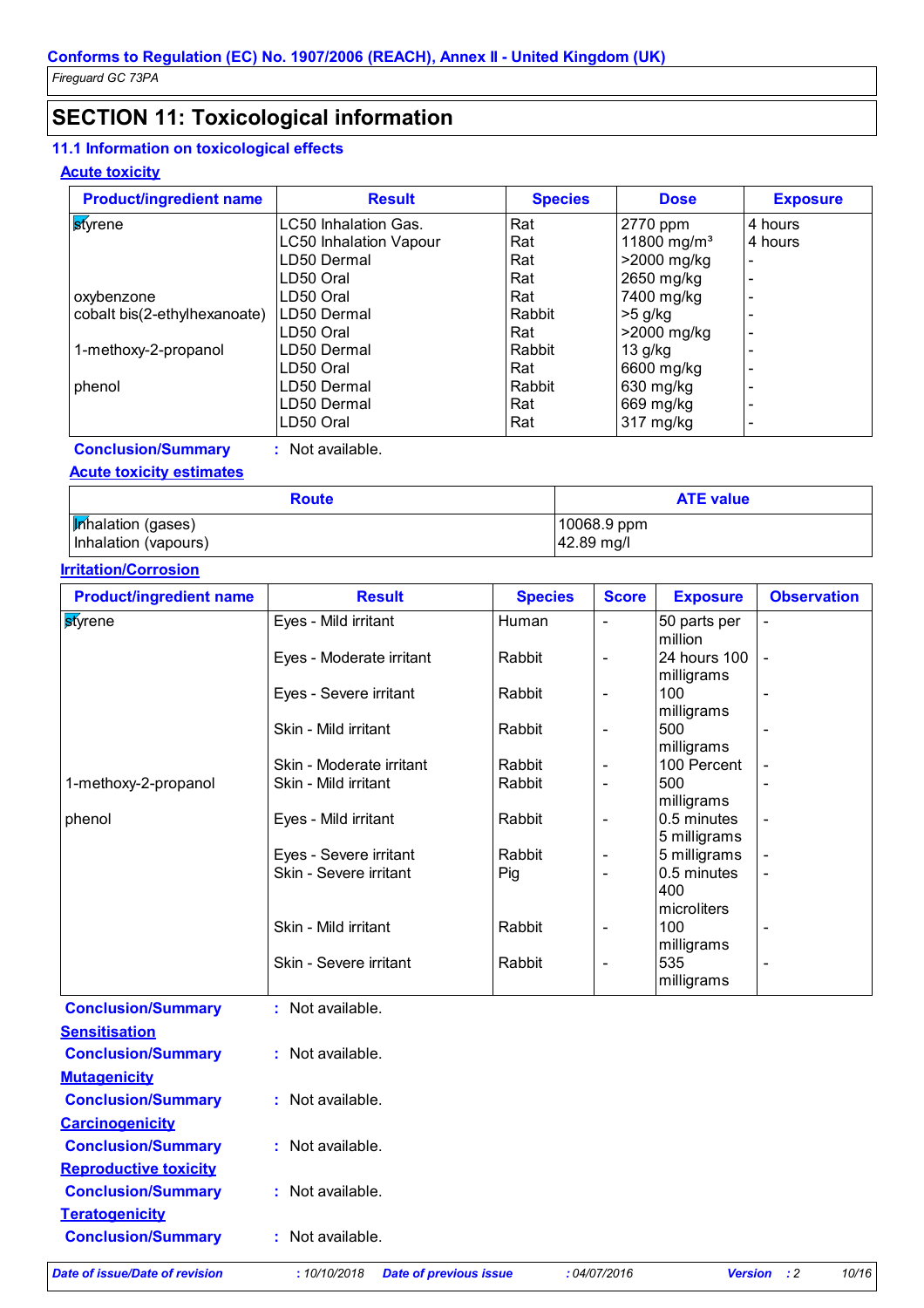## **SECTION 11: Toxicological information**

### **11.1 Information on toxicological effects**

#### **Acute toxicity**

| <b>Product/ingredient name</b> | <b>Result</b>                 | <b>Species</b> | <b>Dose</b>             | <b>Exposure</b> |
|--------------------------------|-------------------------------|----------------|-------------------------|-----------------|
| styrene                        | LC50 Inhalation Gas.          | Rat            | 2770 ppm                | 4 hours         |
|                                | <b>LC50 Inhalation Vapour</b> | Rat            | 11800 mg/m <sup>3</sup> | 4 hours         |
|                                | LD50 Dermal                   | Rat            | >2000 mg/kg             | ٠               |
|                                | LD50 Oral                     | Rat            | 2650 mg/kg              |                 |
| oxybenzone                     | LD50 Oral                     | Rat            | 7400 mg/kg              |                 |
| cobalt bis(2-ethylhexanoate)   | LD50 Dermal                   | Rabbit         | $>5$ g/kg               |                 |
|                                | LD50 Oral                     | Rat            | >2000 mg/kg             |                 |
| 1-methoxy-2-propanol           | LD50 Dermal                   | Rabbit         | $13$ g/kg               |                 |
|                                | LD50 Oral                     | Rat            | 6600 mg/kg              |                 |
| phenol                         | LD50 Dermal                   | Rabbit         | 630 mg/kg               |                 |
|                                | LD50 Dermal                   | Rat            | 669 mg/kg               |                 |
|                                | LD50 Oral                     | Rat            | 317 mg/kg               |                 |

**Conclusion/Summary :** Not available.

#### **Acute toxicity estimates**

| <b>Route</b>              | <b>ATE value</b> |
|---------------------------|------------------|
| <b>Inhalation</b> (gases) | 10068.9 ppm      |
| Inhalation (vapours)      | 42.89 mg/l       |

#### **Irritation/Corrosion**

| <b>Result</b>            | <b>Species</b> | <b>Score</b>                 | <b>Exposure</b>             | <b>Observation</b>                                                                  |
|--------------------------|----------------|------------------------------|-----------------------------|-------------------------------------------------------------------------------------|
| Eyes - Mild irritant     | Human          | $\qquad \qquad \blacksquare$ | 50 parts per<br>million     |                                                                                     |
| Eyes - Moderate irritant | Rabbit         | $\overline{\phantom{a}}$     | 24 hours 100                | $\blacksquare$                                                                      |
| Eyes - Severe irritant   | Rabbit         | $\qquad \qquad \blacksquare$ | 100                         |                                                                                     |
| Skin - Mild irritant     | Rabbit         | $\overline{a}$               | 500<br>milligrams           |                                                                                     |
| Skin - Moderate irritant | Rabbit         | -                            | 100 Percent                 | $\overline{\phantom{a}}$                                                            |
| Skin - Mild irritant     | Rabbit         | $\overline{\phantom{0}}$     | 500                         |                                                                                     |
| Eyes - Mild irritant     | Rabbit         | -                            | 0.5 minutes<br>5 milligrams | $\overline{\phantom{a}}$                                                            |
| Eyes - Severe irritant   | Rabbit         | $\overline{\phantom{a}}$     |                             | $\overline{\phantom{a}}$                                                            |
| Skin - Severe irritant   | Pig            | $\qquad \qquad \blacksquare$ | 0.5 minutes<br>400          | $\overline{\phantom{a}}$                                                            |
| Skin - Mild irritant     | Rabbit         | $\overline{\phantom{a}}$     | 100                         | $\blacksquare$                                                                      |
| Skin - Severe irritant   | Rabbit         | $\qquad \qquad \blacksquare$ | 535<br>milligrams           |                                                                                     |
|                          |                |                              |                             | milligrams<br>milligrams<br>milligrams<br>5 milligrams<br>microliters<br>milligrams |

| Date of issue/Date of revision | :10/10/2018<br><b>Date of previous issue</b> | :04/07/2016 | <b>Version</b><br>$\cdot$ : 2 | 10/16 |
|--------------------------------|----------------------------------------------|-------------|-------------------------------|-------|
| <b>Conclusion/Summary</b>      | Not available.                               |             |                               |       |
| <b>Teratogenicity</b>          |                                              |             |                               |       |
| <b>Conclusion/Summary</b>      | Not available.                               |             |                               |       |
| <b>Reproductive toxicity</b>   |                                              |             |                               |       |
| <b>Conclusion/Summary</b>      | Not available.<br>÷.                         |             |                               |       |
| <b>Carcinogenicity</b>         |                                              |             |                               |       |
| <b>Conclusion/Summary</b>      | $:$ Not available.                           |             |                               |       |
| <b>Mutagenicity</b>            |                                              |             |                               |       |
| <b>Conclusion/Summary</b>      | Not available.<br>÷                          |             |                               |       |
| <b>Sensitisation</b>           |                                              |             |                               |       |
|                                |                                              |             |                               |       |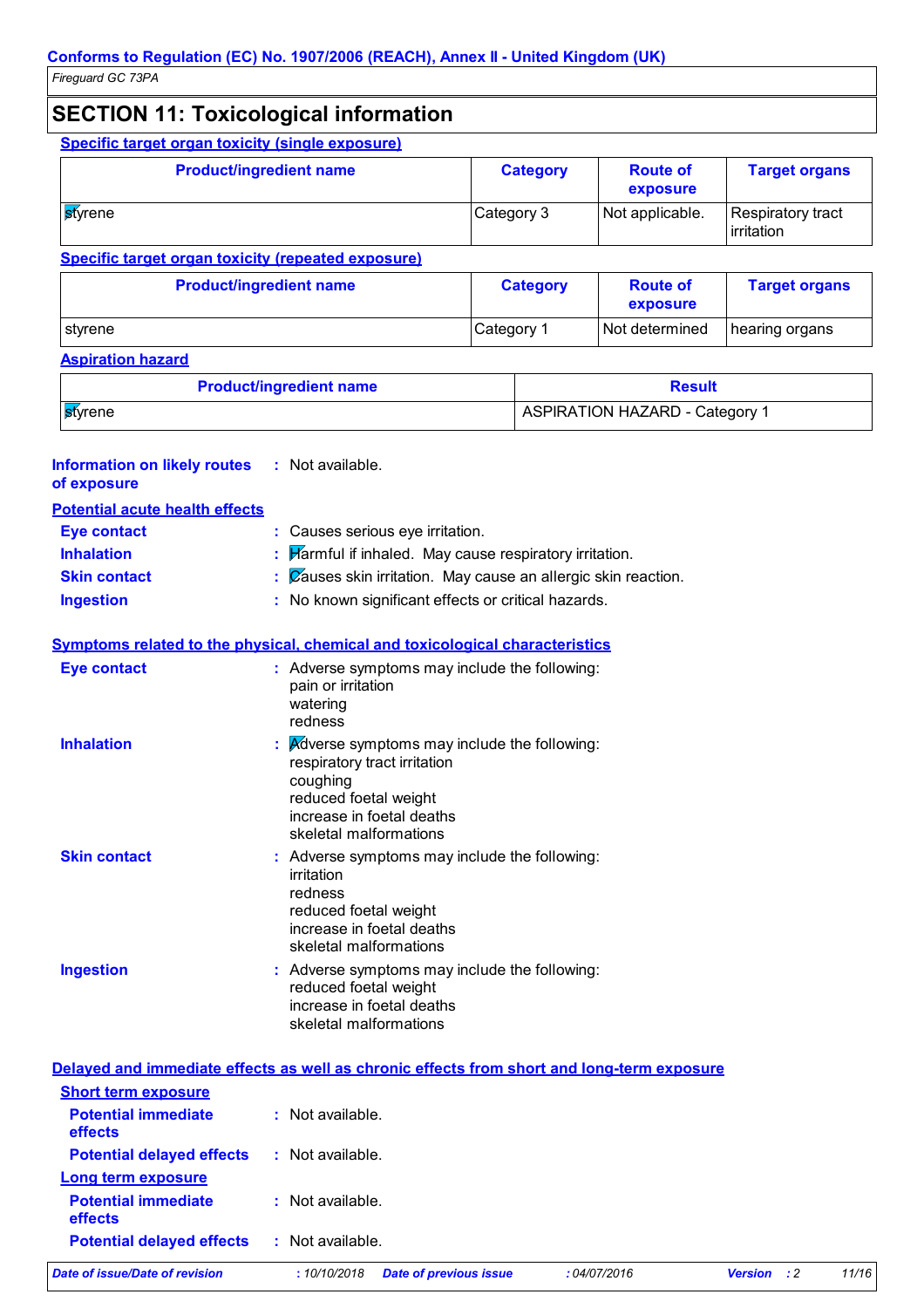## **SECTION 11: Toxicological information**

|                                                             | <b>Specific target organ toxicity (single exposure)</b>                                                                                                                   |                                                              |                                                       |                                       |                                 |
|-------------------------------------------------------------|---------------------------------------------------------------------------------------------------------------------------------------------------------------------------|--------------------------------------------------------------|-------------------------------------------------------|---------------------------------------|---------------------------------|
|                                                             | <b>Product/ingredient name</b>                                                                                                                                            |                                                              | <b>Category</b>                                       | <b>Route of</b><br>exposure           | <b>Target organs</b>            |
| <b>st</b> yrene                                             |                                                                                                                                                                           | Category 3                                                   |                                                       | Not applicable.                       | Respiratory tract<br>irritation |
|                                                             | <b>Specific target organ toxicity (repeated exposure)</b>                                                                                                                 |                                                              |                                                       |                                       |                                 |
|                                                             | <b>Product/ingredient name</b>                                                                                                                                            |                                                              | <b>Category</b>                                       | <b>Route of</b><br>exposure           | <b>Target organs</b>            |
| styrene                                                     |                                                                                                                                                                           | Category 1                                                   |                                                       | Not determined                        | hearing organs                  |
| <b>Aspiration hazard</b>                                    |                                                                                                                                                                           |                                                              |                                                       |                                       |                                 |
|                                                             | <b>Product/ingredient name</b>                                                                                                                                            |                                                              |                                                       | <b>Result</b>                         |                                 |
| styrene                                                     |                                                                                                                                                                           |                                                              |                                                       | <b>ASPIRATION HAZARD - Category 1</b> |                                 |
| <b>Information on likely routes</b><br>of exposure          | : Not available.                                                                                                                                                          |                                                              |                                                       |                                       |                                 |
| <b>Potential acute health effects</b><br><b>Eye contact</b> | : Causes serious eye irritation.                                                                                                                                          |                                                              |                                                       |                                       |                                 |
| <b>Inhalation</b>                                           |                                                                                                                                                                           |                                                              |                                                       |                                       |                                 |
| <b>Skin contact</b>                                         |                                                                                                                                                                           |                                                              | Harmful if inhaled. May cause respiratory irritation. |                                       |                                 |
|                                                             |                                                                                                                                                                           | Causes skin irritation. May cause an allergic skin reaction. |                                                       |                                       |                                 |
|                                                             | : No known significant effects or critical hazards.                                                                                                                       |                                                              |                                                       |                                       |                                 |
|                                                             |                                                                                                                                                                           |                                                              |                                                       |                                       |                                 |
|                                                             | Symptoms related to the physical, chemical and toxicological characteristics                                                                                              |                                                              |                                                       |                                       |                                 |
| <b>Ingestion</b><br><b>Eye contact</b>                      | : Adverse symptoms may include the following:<br>pain or irritation<br>watering<br>redness                                                                                |                                                              |                                                       |                                       |                                 |
| <b>Inhalation</b>                                           | : Adverse symptoms may include the following:<br>respiratory tract irritation<br>coughing<br>reduced foetal weight<br>increase in foetal deaths<br>skeletal malformations |                                                              |                                                       |                                       |                                 |
| <b>Skin contact</b>                                         | Adverse symptoms may include the following:<br>irritation<br>redness<br>reduced foetal weight<br>increase in foetal deaths<br>skeletal malformations                      |                                                              |                                                       |                                       |                                 |

| Date of issue/Date of revision               | <b>Date of previous issue</b><br>:10/10/2018 | :04/07/2016 | <b>Version</b><br>$\cdot$ : 2 | 11/16 |
|----------------------------------------------|----------------------------------------------|-------------|-------------------------------|-------|
| <b>Potential delayed effects</b>             | : Not available.                             |             |                               |       |
| <b>Potential immediate</b><br><b>effects</b> | : Not available.                             |             |                               |       |
| <b>Long term exposure</b>                    |                                              |             |                               |       |
| <b>Potential delayed effects</b>             | : Not available.                             |             |                               |       |
| <b>Potential immediate</b><br><b>effects</b> | : Not available.                             |             |                               |       |
| <b>Short term exposure</b>                   |                                              |             |                               |       |
|                                              |                                              |             |                               |       |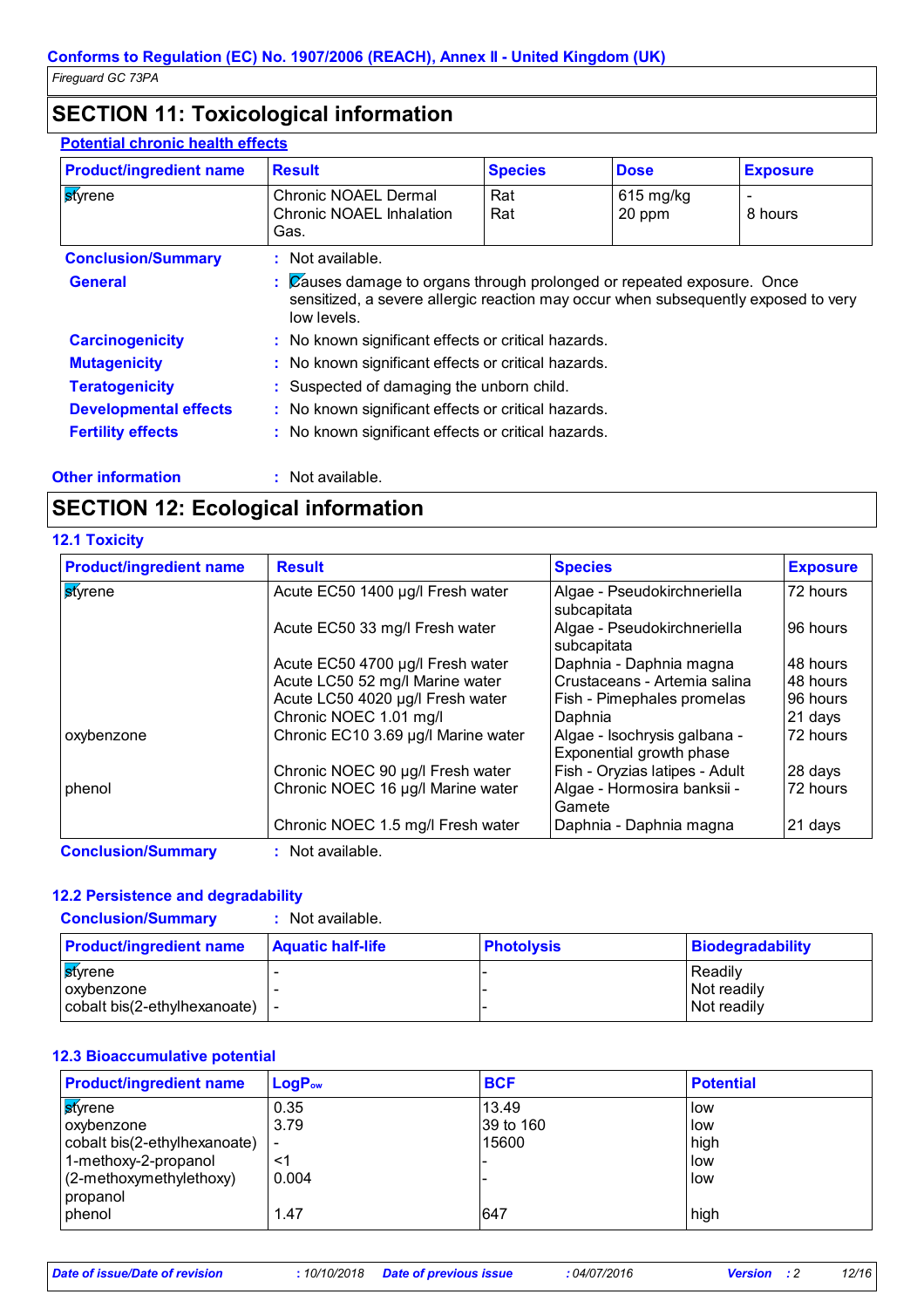## **SECTION 11: Toxicological information**

#### **Potential chronic health effects**

| <b>Product/ingredient name</b> | <b>Result</b>                                       | <b>Species</b>                                                                                                                                               | <b>Dose</b> | <b>Exposure</b> |  |
|--------------------------------|-----------------------------------------------------|--------------------------------------------------------------------------------------------------------------------------------------------------------------|-------------|-----------------|--|
| <b>styrene</b>                 | <b>Chronic NOAEL Dermal</b>                         | Rat                                                                                                                                                          | $615$ mg/kg | -               |  |
|                                | Chronic NOAEL Inhalation                            | Rat                                                                                                                                                          | 20 ppm      | 8 hours         |  |
|                                | Gas.                                                |                                                                                                                                                              |             |                 |  |
| <b>Conclusion/Summary</b>      | : Not available.                                    |                                                                                                                                                              |             |                 |  |
| <b>General</b>                 | low levels.                                         | : Causes damage to organs through prolonged or repeated exposure. Once<br>sensitized, a severe allergic reaction may occur when subsequently exposed to very |             |                 |  |
| <b>Carcinogenicity</b>         | : No known significant effects or critical hazards. |                                                                                                                                                              |             |                 |  |
| <b>Mutagenicity</b>            | : No known significant effects or critical hazards. |                                                                                                                                                              |             |                 |  |
| <b>Teratogenicity</b>          | : Suspected of damaging the unborn child.           |                                                                                                                                                              |             |                 |  |
| <b>Developmental effects</b>   | : No known significant effects or critical hazards. |                                                                                                                                                              |             |                 |  |
| <b>Fertility effects</b>       | : No known significant effects or critical hazards. |                                                                                                                                                              |             |                 |  |
|                                |                                                     |                                                                                                                                                              |             |                 |  |

## **SECTION 12: Ecological information**

**Other information :** Not available.

|  | <b>12.1 Toxicity</b> |  |  |
|--|----------------------|--|--|
|  |                      |  |  |

| <b>Product/ingredient name</b> | <b>Result</b>                       | <b>Species</b>                                           | <b>Exposure</b> |
|--------------------------------|-------------------------------------|----------------------------------------------------------|-----------------|
| <b>s</b> tyrene                | Acute EC50 1400 µg/l Fresh water    | Algae - Pseudokirchneriella<br>subcapitata               | 72 hours        |
|                                | Acute EC50 33 mg/l Fresh water      | Algae - Pseudokirchneriella<br>subcapitata               | 96 hours        |
|                                | Acute EC50 4700 µg/l Fresh water    | Daphnia - Daphnia magna                                  | 48 hours        |
|                                | Acute LC50 52 mg/l Marine water     | Crustaceans - Artemia salina                             | 48 hours        |
|                                | Acute LC50 4020 µg/l Fresh water    | Fish - Pimephales promelas                               | 96 hours        |
|                                | Chronic NOEC 1.01 mg/l              | Daphnia                                                  | 21 days         |
| oxybenzone                     | Chronic EC10 3.69 µg/l Marine water | Algae - Isochrysis galbana -<br>Exponential growth phase | 72 hours        |
|                                | Chronic NOEC 90 µg/l Fresh water    | Fish - Oryzias latipes - Adult                           | 28 days         |
| phenol                         | Chronic NOEC 16 µg/l Marine water   | Algae - Hormosira banksii -<br>Gamete                    | 72 hours        |
|                                | Chronic NOEC 1.5 mg/l Fresh water   | Daphnia - Daphnia magna                                  | 21 days         |

**Conclusion/Summary :** Not available.

#### **12.2 Persistence and degradability**

**Conclusion/Summary :** Not available.

| <b>Product/ingredient name</b>         | <b>Aquatic half-life</b> | <b>Photolysis</b> | Biodegradability |
|----------------------------------------|--------------------------|-------------------|------------------|
| <b>st</b> vrene                        |                          |                   | l Readilv        |
| <b>Loxybenzone</b>                     |                          |                   | Not readily      |
| $ $ cobalt bis(2-ethylhexanoate) $ $ - |                          |                   | Not readily      |

#### **12.3 Bioaccumulative potential**

| <b>Product/ingredient name</b> | $LogP_{ow}$              | <b>BCF</b> | <b>Potential</b> |
|--------------------------------|--------------------------|------------|------------------|
| <b>s</b> tvrene                | 0.35                     | 13.49      | l low            |
| oxybenzone                     | 3.79                     | 39 to 160  | llow             |
| cobalt bis(2-ethylhexanoate)   | $\overline{\phantom{a}}$ | 15600      | high             |
| 1-methoxy-2-propanol           | <1                       |            | low              |
| (2-methoxymethylethoxy)        | 0.004                    |            | llow             |
| propanol                       |                          |            |                  |
| phenol                         | 1.47                     | 647        | high             |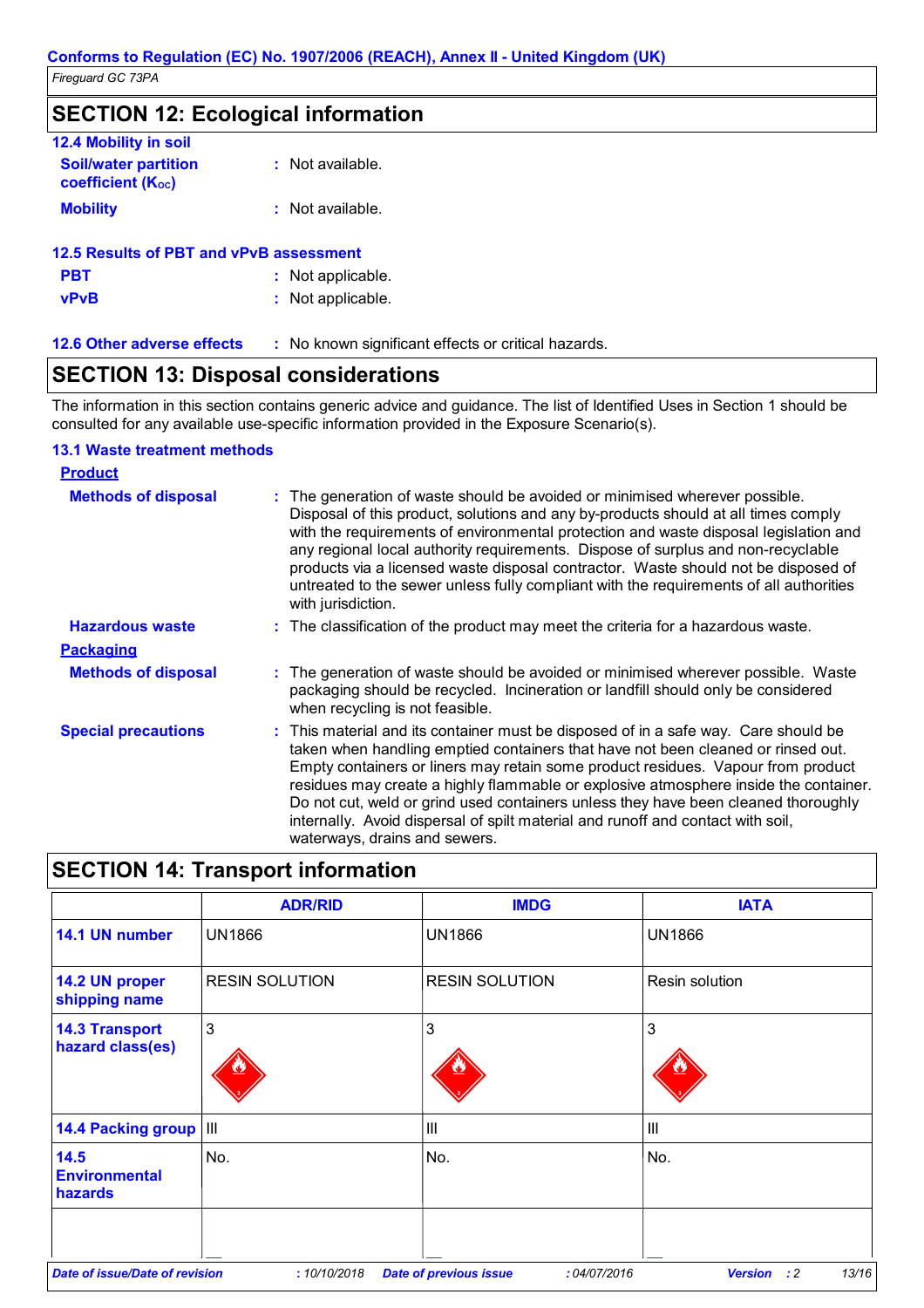## **SECTION 12: Ecological information**

| <b>12.4 Mobility in soil</b>                            |                  |
|---------------------------------------------------------|------------------|
| <b>Soil/water partition</b><br><b>coefficient (Koc)</b> | : Not available. |
| <b>Mobility</b>                                         | : Not available. |
| <b>12.5 Results of PBT and vPvB assessment</b>          |                  |

| <b>PBT</b>  | : Not applicable. |
|-------------|-------------------|
| <b>vPvB</b> | : Not applicable. |

|  |  | <b>12.6 Other adverse effect</b> |  |
|--|--|----------------------------------|--|
|--|--|----------------------------------|--|

**12.6 Other adverse effects** : No known significant effects or critical hazards.

### **SECTION 13: Disposal considerations**

The information in this section contains generic advice and guidance. The list of Identified Uses in Section 1 should be consulted for any available use-specific information provided in the Exposure Scenario(s).

#### **13.1 Waste treatment methods**

| <b>Product</b>             |                                                                                                                                                                                                                                                                                                                                                                                                                                                                                                                                                               |
|----------------------------|---------------------------------------------------------------------------------------------------------------------------------------------------------------------------------------------------------------------------------------------------------------------------------------------------------------------------------------------------------------------------------------------------------------------------------------------------------------------------------------------------------------------------------------------------------------|
| <b>Methods of disposal</b> | : The generation of waste should be avoided or minimised wherever possible.<br>Disposal of this product, solutions and any by-products should at all times comply<br>with the requirements of environmental protection and waste disposal legislation and<br>any regional local authority requirements. Dispose of surplus and non-recyclable<br>products via a licensed waste disposal contractor. Waste should not be disposed of<br>untreated to the sewer unless fully compliant with the requirements of all authorities<br>with jurisdiction.           |
| <b>Hazardous waste</b>     | : The classification of the product may meet the criteria for a hazardous waste.                                                                                                                                                                                                                                                                                                                                                                                                                                                                              |
| <b>Packaging</b>           |                                                                                                                                                                                                                                                                                                                                                                                                                                                                                                                                                               |
| <b>Methods of disposal</b> | : The generation of waste should be avoided or minimised wherever possible. Waste<br>packaging should be recycled. Incineration or landfill should only be considered<br>when recycling is not feasible.                                                                                                                                                                                                                                                                                                                                                      |
| <b>Special precautions</b> | : This material and its container must be disposed of in a safe way. Care should be<br>taken when handling emptied containers that have not been cleaned or rinsed out.<br>Empty containers or liners may retain some product residues. Vapour from product<br>residues may create a highly flammable or explosive atmosphere inside the container.<br>Do not cut, weld or grind used containers unless they have been cleaned thoroughly<br>internally. Avoid dispersal of spilt material and runoff and contact with soil,<br>waterways, drains and sewers. |

## **SECTION 14: Transport information**

|                                           | <b>ADR/RID</b>        | <b>IMDG</b>                                  | <b>IATA</b>                            |
|-------------------------------------------|-----------------------|----------------------------------------------|----------------------------------------|
| 14.1 UN number                            | <b>UN1866</b>         | <b>UN1866</b>                                | <b>UN1866</b>                          |
| 14.2 UN proper<br>shipping name           | <b>RESIN SOLUTION</b> | <b>RESIN SOLUTION</b>                        | Resin solution                         |
| <b>14.3 Transport</b><br>hazard class(es) | 3                     | 3                                            | 3                                      |
| 14.4 Packing group   III                  |                       | lш                                           | III                                    |
| 14.5<br><b>Environmental</b><br>hazards   | No.                   | No.                                          | No.                                    |
| <b>Date of issue/Date of revision</b>     | :10/10/2018           | :04/07/2016<br><b>Date of previous issue</b> | 13/16<br><b>Version</b><br>$\cdot$ : 2 |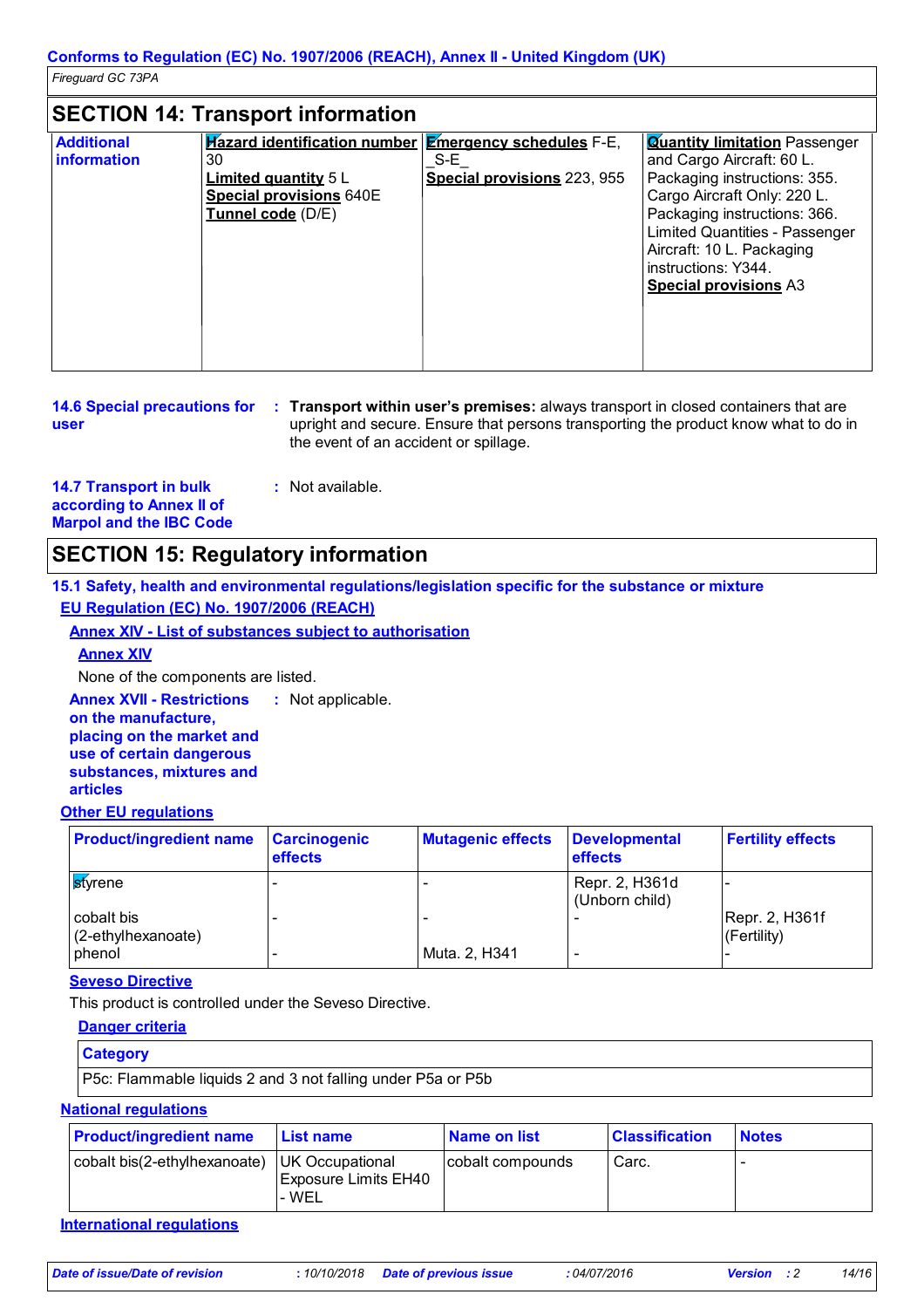### **SECTION 14: Transport information**

| <b>Additional</b><br><b>information</b> | <b>Hazard identification number Emergency schedules</b> F-E,<br>30<br><b>Limited quantity 5 L</b><br><b>Special provisions 640E</b><br>Tunnel code (D/E) | S-E<br>Special provisions 223, 955 | <b>Quantity limitation</b> Passenger<br>and Cargo Aircraft: 60 L.<br>Packaging instructions: 355.<br>Cargo Aircraft Only: 220 L.<br>Packaging instructions: 366. |
|-----------------------------------------|----------------------------------------------------------------------------------------------------------------------------------------------------------|------------------------------------|------------------------------------------------------------------------------------------------------------------------------------------------------------------|
|                                         |                                                                                                                                                          |                                    | <b>Limited Quantities - Passenger</b><br>Aircraft: 10 L. Packaging<br>instructions: Y344.<br><b>Special provisions A3</b>                                        |
|                                         |                                                                                                                                                          |                                    |                                                                                                                                                                  |

| <b>14.6 Special precautions for</b> | <b>Transport within user's premises:</b> always transport in closed containers that are |
|-------------------------------------|-----------------------------------------------------------------------------------------|
| user                                | upright and secure. Ensure that persons transporting the product know what to do in     |
|                                     | the event of an accident or spillage.                                                   |

| <b>14.7 Transport in bulk</b>  | : Not available. |
|--------------------------------|------------------|
| according to Annex II of       |                  |
| <b>Marpol and the IBC Code</b> |                  |

## **SECTION 15: Regulatory information**

**15.1 Safety, health and environmental regulations/legislation specific for the substance or mixture EU Regulation (EC) No. 1907/2006 (REACH)**

**Annex XIV - List of substances subject to authorisation**

**Annex XIV**

None of the components are listed.

**Annex XVII - Restrictions : Not applicable. on the manufacture, placing on the market and use of certain dangerous substances, mixtures and articles**

#### **Other EU regulations**

| <b>Product/ingredient name</b>   | <b>Carcinogenic</b><br><b>effects</b> | <b>Mutagenic effects</b> | <b>Developmental</b><br><b>effects</b> | <b>Fertility effects</b>          |
|----------------------------------|---------------------------------------|--------------------------|----------------------------------------|-----------------------------------|
| <b>s</b> tyrene                  |                                       |                          | Repr. 2, H361d<br>(Unborn child)       |                                   |
| cobalt bis<br>(2-ethylhexanoate) |                                       |                          |                                        | Repr. 2, H361f<br>$ $ (Fertility) |
| phenol                           |                                       | Muta. 2, H341            |                                        |                                   |

#### **Seveso Directive**

This product is controlled under the Seveso Directive.

|--|

| <b>Category</b>                                             |  |
|-------------------------------------------------------------|--|
| P5c: Flammable liquids 2 and 3 not falling under P5a or P5b |  |

#### **National regulations**

| <b>Product/ingredient name</b>                 | <b>⊥List name</b>                    | <b>Name on list</b> | <b>Classification</b> | <b>Notes</b> |
|------------------------------------------------|--------------------------------------|---------------------|-----------------------|--------------|
| cobalt bis(2-ethylhexanoate)   UK Occupational | <b>Exposure Limits EH40</b><br>- WEL | cobalt compounds    | Carc.                 |              |

#### **International regulations**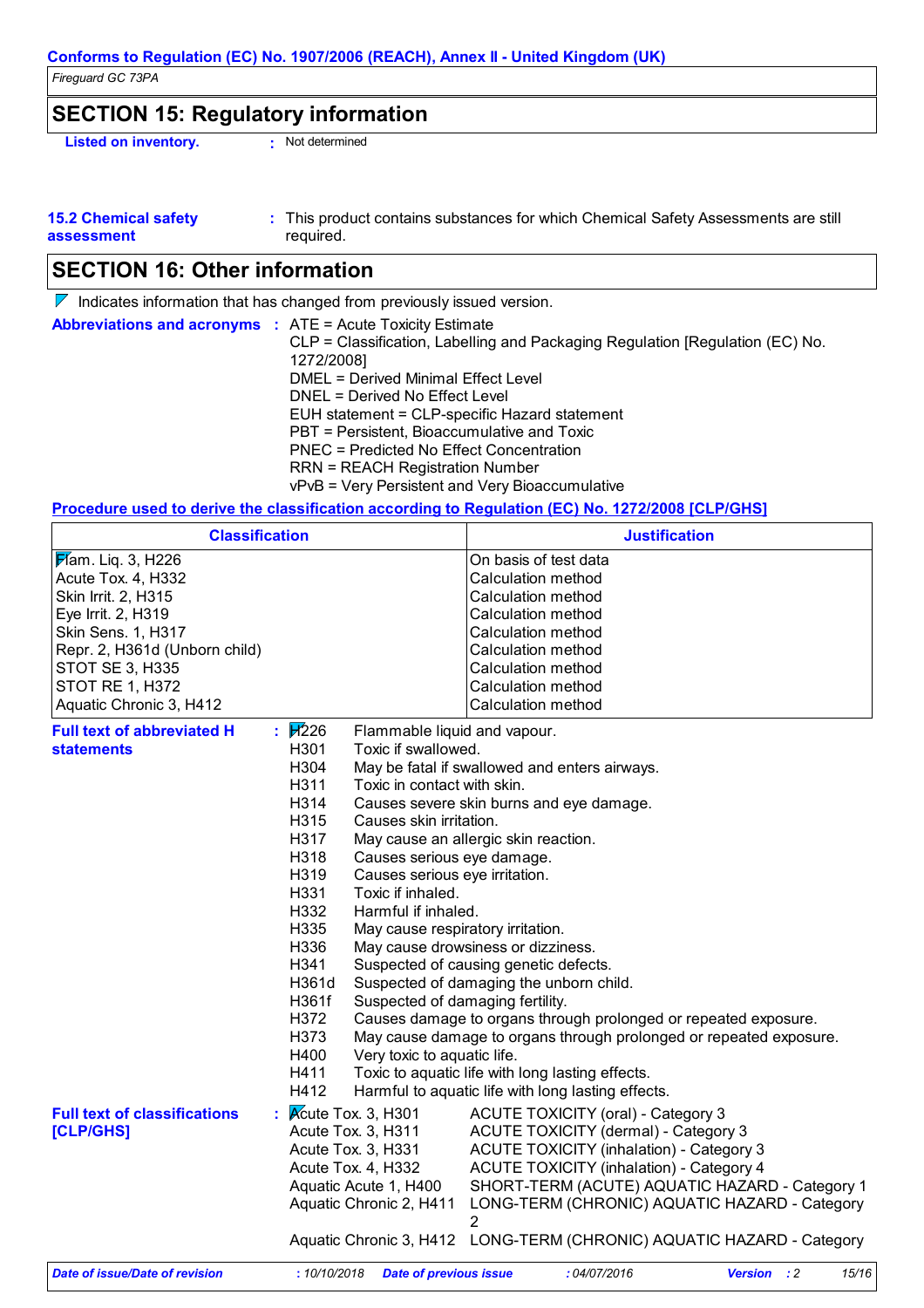### **SECTION 15: Regulatory information**

**Listed on inventory. :** Not determined

| <b>15.2 Chemical safety</b> | This product contains substances for which Chemical Safety Assessments are still |
|-----------------------------|----------------------------------------------------------------------------------|
| assessment                  | required.                                                                        |

## **SECTION 16: Other information**

 $\nabla$  Indicates information that has changed from previously issued version.

| <b>Abbreviations and acronyms : ATE = Acute Toxicity Estimate</b> | CLP = Classification, Labelling and Packaging Regulation [Regulation (EC) No.<br>1272/2008] |
|-------------------------------------------------------------------|---------------------------------------------------------------------------------------------|
|                                                                   | DMEL = Derived Minimal Effect Level                                                         |
|                                                                   | DNEL = Derived No Effect Level                                                              |
|                                                                   | EUH statement = CLP-specific Hazard statement                                               |
|                                                                   | PBT = Persistent, Bioaccumulative and Toxic                                                 |
|                                                                   | PNEC = Predicted No Effect Concentration                                                    |
|                                                                   | <b>RRN = REACH Registration Number</b>                                                      |
|                                                                   | vPvB = Very Persistent and Very Bioaccumulative                                             |

#### **Procedure used to derive the classification according to Regulation (EC) No. 1272/2008 [CLP/GHS]**

| <b>Classification</b>                                                                                                                                                                                                    |                                                                                                                                                                                     |                                                                                                                                                                                                                                                                                                                                                                                                                                                                                                                                                                                                                                                                                                                                                                                               | <b>Justification</b>                                                                                                                                                                                                                                                                                                                                                                  |                    |       |
|--------------------------------------------------------------------------------------------------------------------------------------------------------------------------------------------------------------------------|-------------------------------------------------------------------------------------------------------------------------------------------------------------------------------------|-----------------------------------------------------------------------------------------------------------------------------------------------------------------------------------------------------------------------------------------------------------------------------------------------------------------------------------------------------------------------------------------------------------------------------------------------------------------------------------------------------------------------------------------------------------------------------------------------------------------------------------------------------------------------------------------------------------------------------------------------------------------------------------------------|---------------------------------------------------------------------------------------------------------------------------------------------------------------------------------------------------------------------------------------------------------------------------------------------------------------------------------------------------------------------------------------|--------------------|-------|
| $\cancel{F}$ am. Liq. 3, H226<br>Acute Tox. 4, H332<br>Skin Irrit. 2, H315<br>Eye Irrit. 2, H319<br>Skin Sens. 1, H317<br>Repr. 2, H361d (Unborn child)<br>STOT SE 3, H335<br>STOT RE 1, H372<br>Aquatic Chronic 3, H412 |                                                                                                                                                                                     |                                                                                                                                                                                                                                                                                                                                                                                                                                                                                                                                                                                                                                                                                                                                                                                               | On basis of test data<br>Calculation method<br><b>Calculation method</b><br><b>Calculation method</b><br>Calculation method<br><b>Calculation method</b><br><b>Calculation method</b><br><b>Calculation method</b><br>Calculation method                                                                                                                                              |                    |       |
| <b>Full text of abbreviated H</b><br>statements                                                                                                                                                                          | : $\mathbb{H}226$<br>H301<br>H304<br>H311<br>H314<br>H315<br>H317<br>H318<br>H319<br>H331<br>H332<br>H335<br>H336<br>H341<br>H361d<br>H361f<br>H372<br>H373<br>H400<br>H411<br>H412 | Flammable liquid and vapour.<br>Toxic if swallowed.<br>May be fatal if swallowed and enters airways.<br>Toxic in contact with skin.<br>Causes severe skin burns and eye damage.<br>Causes skin irritation.<br>May cause an allergic skin reaction.<br>Causes serious eye damage.<br>Causes serious eye irritation.<br>Toxic if inhaled.<br>Harmful if inhaled.<br>May cause respiratory irritation.<br>May cause drowsiness or dizziness.<br>Suspected of causing genetic defects.<br>Suspected of damaging the unborn child.<br>Suspected of damaging fertility.<br>Causes damage to organs through prolonged or repeated exposure.<br>May cause damage to organs through prolonged or repeated exposure.<br>Very toxic to aquatic life.<br>Toxic to aquatic life with long lasting effects. |                                                                                                                                                                                                                                                                                                                                                                                       |                    |       |
| <b>Full text of classifications</b><br>[CLP/GHS]                                                                                                                                                                         | $:$ Acute Tox. 3, H301                                                                                                                                                              | Acute Tox. 3, H311<br>Acute Tox. 3, H331<br>Acute Tox. 4, H332<br>Aquatic Acute 1, H400<br>Aquatic Chronic 2, H411                                                                                                                                                                                                                                                                                                                                                                                                                                                                                                                                                                                                                                                                            | <b>ACUTE TOXICITY (oral) - Category 3</b><br>ACUTE TOXICITY (dermal) - Category 3<br><b>ACUTE TOXICITY (inhalation) - Category 3</b><br><b>ACUTE TOXICITY (inhalation) - Category 4</b><br>SHORT-TERM (ACUTE) AQUATIC HAZARD - Category 1<br>LONG-TERM (CHRONIC) AQUATIC HAZARD - Category<br>$\overline{2}$<br>Aquatic Chronic 3, H412 LONG-TERM (CHRONIC) AQUATIC HAZARD - Category |                    |       |
| Date of issue/Date of revision                                                                                                                                                                                           | : 10/10/2018                                                                                                                                                                        | <b>Date of previous issue</b>                                                                                                                                                                                                                                                                                                                                                                                                                                                                                                                                                                                                                                                                                                                                                                 | :04/07/2016                                                                                                                                                                                                                                                                                                                                                                           | <b>Version</b> : 2 | 15/16 |